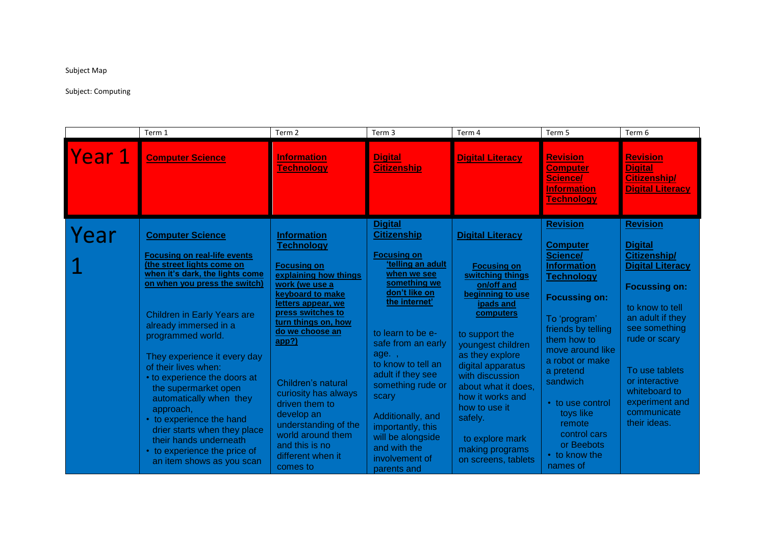## Subject Map

## Subject: Computing

|        | Term 1                                                                                                                                                                                                                                                                                                                                                                                                                                                                                                                                                          | Term 2                                                                                                                                                                                                                                                                                                                                                                                                   | Term <sub>3</sub>                                                                                                                                                                                                                                                                                                                                                                             | Term 4                                                                                                                                                                                                                                                                                                                                                              | Term 5                                                                                                                                                                                                                                                                                                                                              | Term 6                                                                                                                                                                                                                                                                              |
|--------|-----------------------------------------------------------------------------------------------------------------------------------------------------------------------------------------------------------------------------------------------------------------------------------------------------------------------------------------------------------------------------------------------------------------------------------------------------------------------------------------------------------------------------------------------------------------|----------------------------------------------------------------------------------------------------------------------------------------------------------------------------------------------------------------------------------------------------------------------------------------------------------------------------------------------------------------------------------------------------------|-----------------------------------------------------------------------------------------------------------------------------------------------------------------------------------------------------------------------------------------------------------------------------------------------------------------------------------------------------------------------------------------------|---------------------------------------------------------------------------------------------------------------------------------------------------------------------------------------------------------------------------------------------------------------------------------------------------------------------------------------------------------------------|-----------------------------------------------------------------------------------------------------------------------------------------------------------------------------------------------------------------------------------------------------------------------------------------------------------------------------------------------------|-------------------------------------------------------------------------------------------------------------------------------------------------------------------------------------------------------------------------------------------------------------------------------------|
| Year 1 | <b>Computer Science</b>                                                                                                                                                                                                                                                                                                                                                                                                                                                                                                                                         | <b>Information</b><br><b>Technology</b>                                                                                                                                                                                                                                                                                                                                                                  | <b>Digital</b><br><b>Citizenship</b>                                                                                                                                                                                                                                                                                                                                                          | <b>Digital Literacy</b>                                                                                                                                                                                                                                                                                                                                             | <b>Revision</b><br><b>Computer</b><br><b>Science/</b><br><b>Information</b><br><b>Technology</b>                                                                                                                                                                                                                                                    | <b>Revision</b><br><b>Digital</b><br><b>Citizenship/</b><br><b>Digital Literacy</b>                                                                                                                                                                                                 |
| Year   | <b>Computer Science</b><br><b>Focusing on real-life events</b><br>(the street lights come on<br>when it's dark, the lights come<br>on when you press the switch)<br><b>Children in Early Years are</b><br>already immersed in a<br>programmed world.<br>They experience it every day<br>of their lives when:<br>• to experience the doors at<br>the supermarket open<br>automatically when they<br>approach,<br>• to experience the hand<br>drier starts when they place<br>their hands underneath<br>• to experience the price of<br>an item shows as you scan | <b>Information</b><br><b>Technology</b><br><b>Focusing on</b><br>explaining how things<br>work (we use a<br>keyboard to make<br>letters appear, we<br>press switches to<br>turn things on, how<br>do we choose an<br>app?)<br>Children's natural<br>curiosity has always<br>driven them to<br>develop an<br>understanding of the<br>world around them<br>and this is no<br>different when it<br>comes to | <b>Digital</b><br><b>Citizenship</b><br><b>Focusing on</b><br>'telling an adult<br>when we see<br>something we<br>don't like on<br>the internet'<br>to learn to be e-<br>safe from an early<br>age.,<br>to know to tell an<br>adult if they see<br>something rude or<br>scary<br>Additionally, and<br>importantly, this<br>will be alongside<br>and with the<br>involvement of<br>parents and | <b>Digital Literacy</b><br><b>Focusing on</b><br>switching things<br>on/off and<br>beginning to use<br>ipads and<br>computers<br>to support the<br>youngest children<br>as they explore<br>digital apparatus<br>with discussion<br>about what it does.<br>how it works and<br>how to use it<br>safely.<br>to explore mark<br>making programs<br>on screens, tablets | <b>Revision</b><br><b>Computer</b><br><b>Science/</b><br><b>Information</b><br><b>Technology</b><br><b>Focussing on:</b><br>To 'program'<br>friends by telling<br>them how to<br>move around like<br>a robot or make<br>a pretend<br>sandwich<br>• to use control<br>toys like<br>remote<br>control cars<br>or Beebots<br>• to know the<br>names of | <b>Revision</b><br><b>Digital</b><br>Citizenship/<br><b>Digital Literacy</b><br><b>Focussing on:</b><br>to know to tell<br>an adult if they<br>see something<br>rude or scary<br>To use tablets<br>or interactive<br>whiteboard to<br>experiment and<br>communicate<br>their ideas. |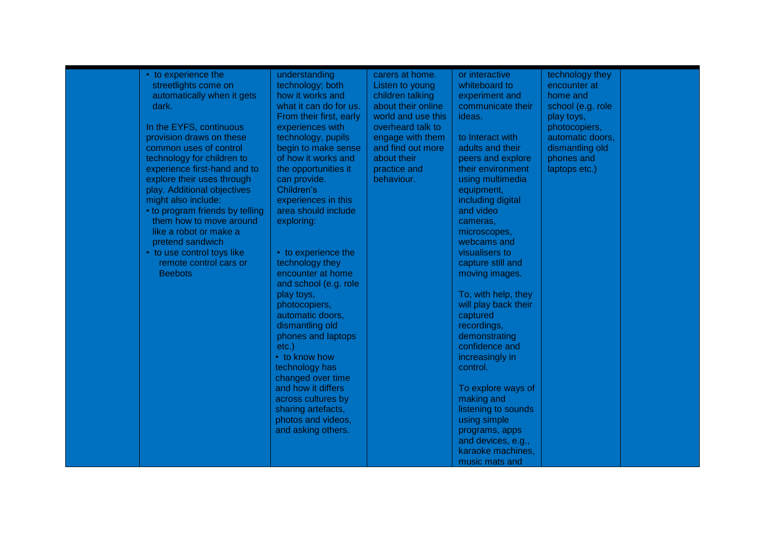| • to experience the<br>streetlights come on<br>automatically when it gets<br>dark.<br>In the EYFS, continuous<br>provision draws on these<br>common uses of control<br>technology for children to<br>experience first-hand and to<br>explore their uses through<br>play. Additional objectives<br>might also include:<br>• to program friends by telling<br>them how to move around<br>like a robot or make a<br>pretend sandwich<br>• to use control toys like<br>remote control cars or<br><b>Beebots</b> | understanding<br>technology; both<br>how it works and<br>what it can do for us.<br>From their first, early<br>experiences with<br>technology, pupils<br>begin to make sense<br>of how it works and<br>the opportunities it<br>can provide.<br>Children's<br>experiences in this<br>area should include<br>exploring:<br>• to experience the<br>technology they<br>encounter at home<br>and school (e.g. role<br>play toys,<br>photocopiers,<br>automatic doors,<br>dismantling old<br>phones and laptops<br>$etc.$ )<br>• to know how<br>technology has<br>changed over time<br>and how it differs<br>across cultures by<br>sharing artefacts,<br>photos and videos,<br>and asking others. | carers at home.<br>Listen to young<br>children talking<br>about their online<br>world and use this<br>overheard talk to<br>engage with them<br>and find out more<br>about their<br>practice and<br>behaviour. | or interactive<br>whiteboard to<br>experiment and<br>communicate their<br>ideas.<br>to Interact with<br>adults and their<br>peers and explore<br>their environment<br>using multimedia<br>equipment,<br>including digital<br>and video<br>cameras,<br>microscopes,<br>webcams and<br>visualisers to<br>capture still and<br>moving images.<br>To, with help, they<br>will play back their<br>captured<br>recordings,<br>demonstrating<br>confidence and<br>increasingly in<br>control.<br>To explore ways of<br>making and<br>listening to sounds<br>using simple<br>programs, apps<br>and devices, e.g.,<br>karaoke machines,<br>music mats and | technology they<br>encounter at<br>home and<br>school (e.g. role<br>play toys,<br>photocopiers,<br>automatic doors,<br>dismantling old<br>phones and<br>laptops etc.) |  |
|-------------------------------------------------------------------------------------------------------------------------------------------------------------------------------------------------------------------------------------------------------------------------------------------------------------------------------------------------------------------------------------------------------------------------------------------------------------------------------------------------------------|--------------------------------------------------------------------------------------------------------------------------------------------------------------------------------------------------------------------------------------------------------------------------------------------------------------------------------------------------------------------------------------------------------------------------------------------------------------------------------------------------------------------------------------------------------------------------------------------------------------------------------------------------------------------------------------------|---------------------------------------------------------------------------------------------------------------------------------------------------------------------------------------------------------------|--------------------------------------------------------------------------------------------------------------------------------------------------------------------------------------------------------------------------------------------------------------------------------------------------------------------------------------------------------------------------------------------------------------------------------------------------------------------------------------------------------------------------------------------------------------------------------------------------------------------------------------------------|-----------------------------------------------------------------------------------------------------------------------------------------------------------------------|--|
|-------------------------------------------------------------------------------------------------------------------------------------------------------------------------------------------------------------------------------------------------------------------------------------------------------------------------------------------------------------------------------------------------------------------------------------------------------------------------------------------------------------|--------------------------------------------------------------------------------------------------------------------------------------------------------------------------------------------------------------------------------------------------------------------------------------------------------------------------------------------------------------------------------------------------------------------------------------------------------------------------------------------------------------------------------------------------------------------------------------------------------------------------------------------------------------------------------------------|---------------------------------------------------------------------------------------------------------------------------------------------------------------------------------------------------------------|--------------------------------------------------------------------------------------------------------------------------------------------------------------------------------------------------------------------------------------------------------------------------------------------------------------------------------------------------------------------------------------------------------------------------------------------------------------------------------------------------------------------------------------------------------------------------------------------------------------------------------------------------|-----------------------------------------------------------------------------------------------------------------------------------------------------------------------|--|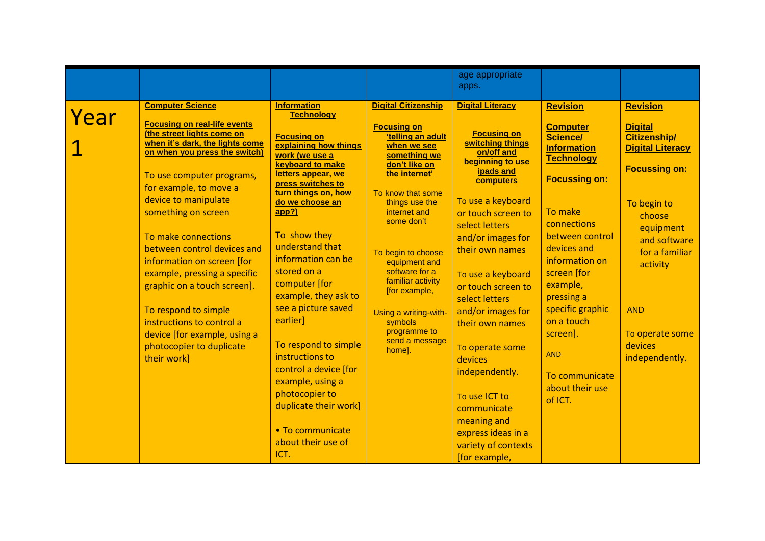|                                                                                                                                              |                                                                                                                                                                                                                                                                                                                                                                                                                   |                                                                                                                                                                                                                                                                                                                                                                                                                                                                                                                                                                     |                                                                                                                                                                                                                                                                                                                                                                                            | age appropriate<br>apps.                                                                                                                                                                                                                                                                                                                                                                                                                                                                                           |                                                                                                                                                                                                                                                                                                                                                      |                                                                                                                                                                                                                                                               |
|----------------------------------------------------------------------------------------------------------------------------------------------|-------------------------------------------------------------------------------------------------------------------------------------------------------------------------------------------------------------------------------------------------------------------------------------------------------------------------------------------------------------------------------------------------------------------|---------------------------------------------------------------------------------------------------------------------------------------------------------------------------------------------------------------------------------------------------------------------------------------------------------------------------------------------------------------------------------------------------------------------------------------------------------------------------------------------------------------------------------------------------------------------|--------------------------------------------------------------------------------------------------------------------------------------------------------------------------------------------------------------------------------------------------------------------------------------------------------------------------------------------------------------------------------------------|--------------------------------------------------------------------------------------------------------------------------------------------------------------------------------------------------------------------------------------------------------------------------------------------------------------------------------------------------------------------------------------------------------------------------------------------------------------------------------------------------------------------|------------------------------------------------------------------------------------------------------------------------------------------------------------------------------------------------------------------------------------------------------------------------------------------------------------------------------------------------------|---------------------------------------------------------------------------------------------------------------------------------------------------------------------------------------------------------------------------------------------------------------|
| <b>Computer Science</b><br>Year<br>device to manipulate<br>something on screen<br>To make connections<br>To respond to simple<br>their work] | <b>Focusing on real-life events</b><br>(the street lights come on<br>when it's dark, the lights come<br>on when you press the switch)<br>To use computer programs,<br>for example, to move a<br>between control devices and<br>information on screen [for<br>example, pressing a specific<br>graphic on a touch screen].<br>instructions to control a<br>device [for example, using a<br>photocopier to duplicate | <b>Information</b><br><b>Technology</b><br><b>Focusing on</b><br>explaining how things<br>work (we use a<br>keyboard to make<br>letters appear, we<br>press switches to<br>turn things on, how<br>do we choose an<br>app?)<br>To show they<br>understand that<br>information can be<br>stored on a<br>computer [for<br>example, they ask to<br>see a picture saved<br>earlier]<br>To respond to simple<br>instructions to<br>control a device [for<br>example, using a<br>photocopier to<br>duplicate their work]<br>• To communicate<br>about their use of<br>ICT. | <b>Digital Citizenship</b><br><b>Focusing on</b><br>'telling an adult<br>when we see<br>something we<br>don't like on<br>the internet'<br>To know that some<br>things use the<br>internet and<br>some don't<br>To begin to choose<br>equipment and<br>software for a<br>familiar activity<br>[for example,<br>Using a writing-with-<br>symbols<br>programme to<br>send a message<br>home]. | <b>Digital Literacy</b><br><b>Focusing on</b><br>switching things<br>on/off and<br>beginning to use<br>ipads and<br><b>computers</b><br>To use a keyboard<br>or touch screen to<br>select letters<br>and/or images for<br>their own names<br>To use a keyboard<br>or touch screen to<br>select letters<br>and/or images for<br>their own names<br>To operate some<br><b>devices</b><br>independently.<br>To use ICT to<br>communicate<br>meaning and<br>express ideas in a<br>variety of contexts<br>[for example, | <b>Revision</b><br><b>Computer</b><br>Science/<br><b>Information</b><br><b>Technology</b><br><b>Focussing on:</b><br>To make<br>connections<br>between control<br>devices and<br>information on<br>screen [for<br>example,<br>pressing a<br>specific graphic<br>on a touch<br>screen].<br><b>AND</b><br>To communicate<br>about their use<br>of ICT. | <b>Revision</b><br><b>Digital</b><br><b>Citizenship/</b><br><b>Digital Literacy</b><br><b>Focussing on:</b><br>To begin to<br>choose<br>equipment<br>and software<br>for a familiar<br>activity<br><b>AND</b><br>To operate some<br>devices<br>independently. |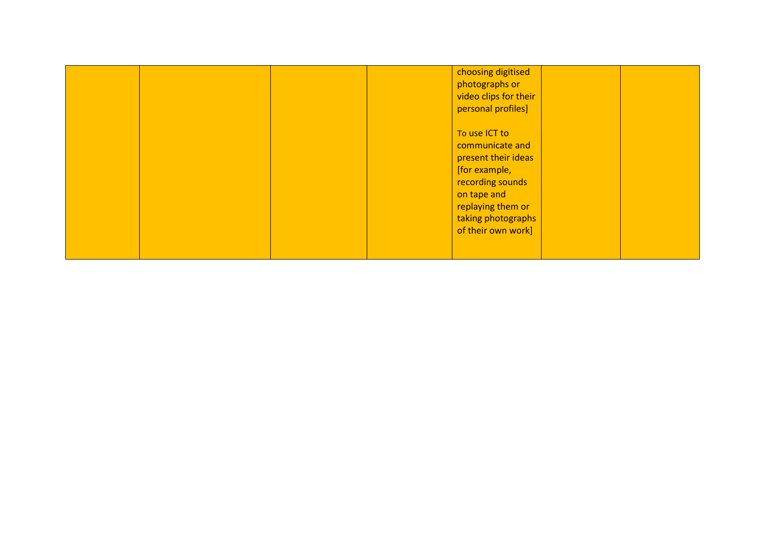|  |  | choosing digitised<br>photographs or<br>video clips for their<br>personal profiles]                                                                                          |  |
|--|--|------------------------------------------------------------------------------------------------------------------------------------------------------------------------------|--|
|  |  | To use ICT to<br>communicate and<br>present their ideas<br>[for example,<br>recording sounds<br>on tape and<br>replaying them or<br>taking photographs<br>of their own work] |  |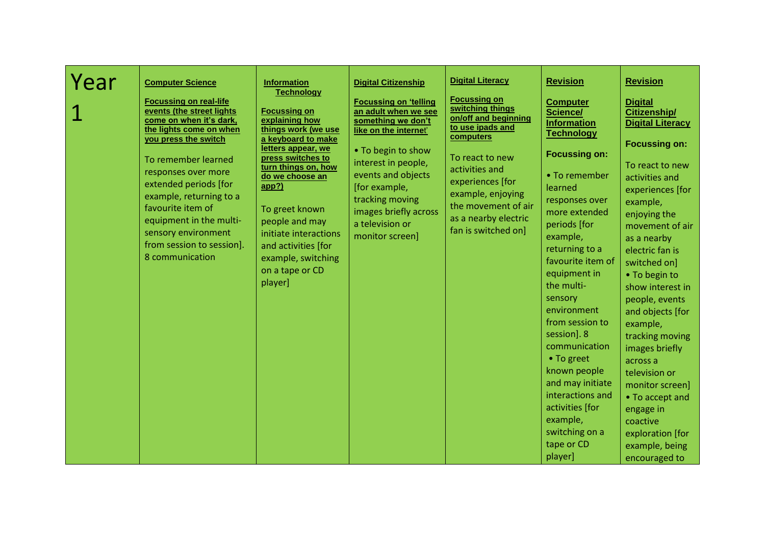| Year | <b>Computer Science</b><br><b>Focussing on real-life</b><br>events (the street lights<br>come on when it's dark,<br>the lights come on when<br>you press the switch<br>To remember learned<br>responses over more<br>extended periods [for<br>example, returning to a<br>favourite item of<br>equipment in the multi-<br>sensory environment<br>from session to session].<br>8 communication | <b>Information</b><br><b>Technology</b><br><b>Focussing on</b><br>explaining how<br>things work (we use<br>a keyboard to make<br>letters appear, we<br>press switches to<br>turn things on, how<br>do we choose an<br>app?)<br>To greet known<br>people and may<br>initiate interactions<br>and activities [for<br>example, switching<br>on a tape or CD<br>player] | <b>Digital Citizenship</b><br><b>Focussing on 'telling</b><br>an adult when we see<br>something we don't<br>like on the internet'<br>• To begin to show<br>interest in people,<br>events and objects<br>[for example,<br>tracking moving<br>images briefly across<br>a television or<br>monitor screen] | <b>Digital Literacy</b><br><b>Focussing on</b><br>switching things<br>on/off and beginning<br>to use ipads and<br>computers<br>To react to new<br>activities and<br>experiences [for<br>example, enjoying<br>the movement of air<br>as a nearby electric<br>fan is switched on] | <b>Revision</b><br><b>Computer</b><br>Science/<br><b>Information</b><br><b>Technology</b><br><b>Focussing on:</b><br>• To remember<br>learned<br>responses over<br>more extended<br>periods [for<br>example,<br>returning to a<br>favourite item of<br>equipment in<br>the multi-<br>sensory<br>environment<br>from session to<br>session]. 8<br>communication<br>• To greet<br>known people<br>and may initiate<br>interactions and<br>activities [for<br>example,<br>switching on a | <b>Revision</b><br><b>Digital</b><br>Citizenship/<br><b>Digital Literacy</b><br><b>Focussing on:</b><br>To react to new<br>activities and<br>experiences [for<br>example,<br>enjoying the<br>movement of air<br>as a nearby<br>electric fan is<br>switched on]<br>• To begin to<br>show interest in<br>people, events<br>and objects [for<br>example,<br>tracking moving<br>images briefly<br>across a<br>television or<br>monitor screen]<br>• To accept and<br>engage in<br>coactive<br>exploration [for |
|------|----------------------------------------------------------------------------------------------------------------------------------------------------------------------------------------------------------------------------------------------------------------------------------------------------------------------------------------------------------------------------------------------|---------------------------------------------------------------------------------------------------------------------------------------------------------------------------------------------------------------------------------------------------------------------------------------------------------------------------------------------------------------------|---------------------------------------------------------------------------------------------------------------------------------------------------------------------------------------------------------------------------------------------------------------------------------------------------------|---------------------------------------------------------------------------------------------------------------------------------------------------------------------------------------------------------------------------------------------------------------------------------|---------------------------------------------------------------------------------------------------------------------------------------------------------------------------------------------------------------------------------------------------------------------------------------------------------------------------------------------------------------------------------------------------------------------------------------------------------------------------------------|------------------------------------------------------------------------------------------------------------------------------------------------------------------------------------------------------------------------------------------------------------------------------------------------------------------------------------------------------------------------------------------------------------------------------------------------------------------------------------------------------------|
|      |                                                                                                                                                                                                                                                                                                                                                                                              |                                                                                                                                                                                                                                                                                                                                                                     |                                                                                                                                                                                                                                                                                                         |                                                                                                                                                                                                                                                                                 | tape or CD<br>player]                                                                                                                                                                                                                                                                                                                                                                                                                                                                 | example, being<br>encouraged to                                                                                                                                                                                                                                                                                                                                                                                                                                                                            |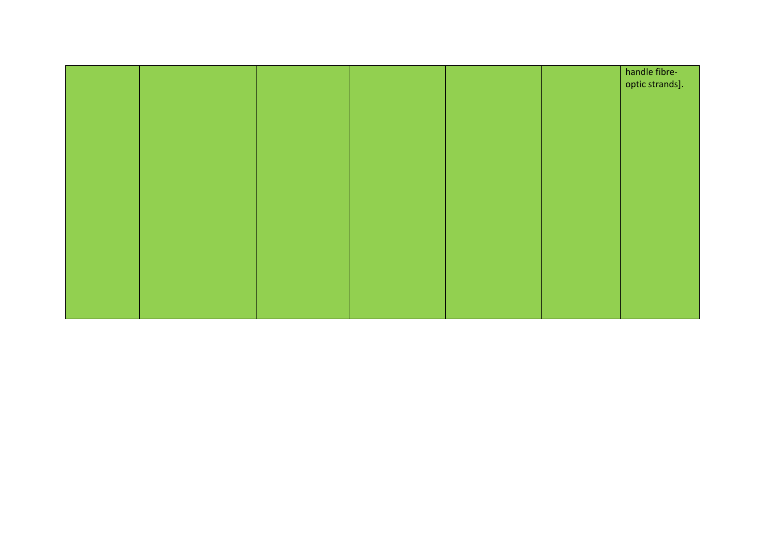|  |  |  | handle fibre-<br>optic strands]. |
|--|--|--|----------------------------------|
|  |  |  |                                  |
|  |  |  |                                  |
|  |  |  |                                  |
|  |  |  |                                  |
|  |  |  |                                  |
|  |  |  |                                  |
|  |  |  |                                  |
|  |  |  |                                  |
|  |  |  |                                  |
|  |  |  |                                  |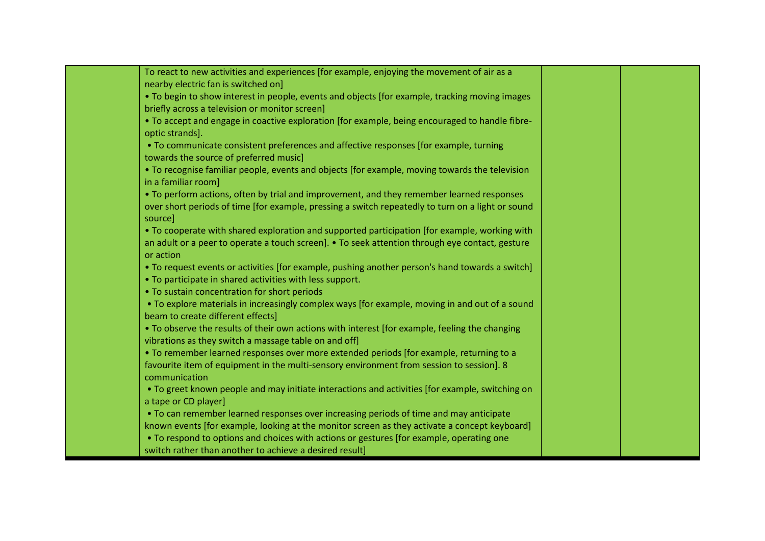| To react to new activities and experiences [for example, enjoying the movement of air as a                                                                                                     |  |
|------------------------------------------------------------------------------------------------------------------------------------------------------------------------------------------------|--|
| nearby electric fan is switched on]                                                                                                                                                            |  |
| • To begin to show interest in people, events and objects [for example, tracking moving images                                                                                                 |  |
| briefly across a television or monitor screen]                                                                                                                                                 |  |
| . To accept and engage in coactive exploration [for example, being encouraged to handle fibre-<br>optic strands].                                                                              |  |
| • To communicate consistent preferences and affective responses [for example, turning                                                                                                          |  |
| towards the source of preferred music]                                                                                                                                                         |  |
| • To recognise familiar people, events and objects [for example, moving towards the television<br>in a familiar room]                                                                          |  |
|                                                                                                                                                                                                |  |
| • To perform actions, often by trial and improvement, and they remember learned responses<br>over short periods of time [for example, pressing a switch repeatedly to turn on a light or sound |  |
| source]                                                                                                                                                                                        |  |
| • To cooperate with shared exploration and supported participation [for example, working with                                                                                                  |  |
| an adult or a peer to operate a touch screen]. • To seek attention through eye contact, gesture                                                                                                |  |
| or action                                                                                                                                                                                      |  |
| • To request events or activities [for example, pushing another person's hand towards a switch]                                                                                                |  |
| • To participate in shared activities with less support.                                                                                                                                       |  |
| • To sustain concentration for short periods                                                                                                                                                   |  |
| • To explore materials in increasingly complex ways [for example, moving in and out of a sound<br>beam to create different effects]                                                            |  |
| . To observe the results of their own actions with interest [for example, feeling the changing                                                                                                 |  |
| vibrations as they switch a massage table on and off]                                                                                                                                          |  |
| . To remember learned responses over more extended periods [for example, returning to a                                                                                                        |  |
| favourite item of equipment in the multi-sensory environment from session to session]. 8                                                                                                       |  |
| communication                                                                                                                                                                                  |  |
| . To greet known people and may initiate interactions and activities [for example, switching on                                                                                                |  |
| a tape or CD player]                                                                                                                                                                           |  |
| • To can remember learned responses over increasing periods of time and may anticipate                                                                                                         |  |
| known events [for example, looking at the monitor screen as they activate a concept keyboard]                                                                                                  |  |
| • To respond to options and choices with actions or gestures [for example, operating one                                                                                                       |  |
| switch rather than another to achieve a desired result]                                                                                                                                        |  |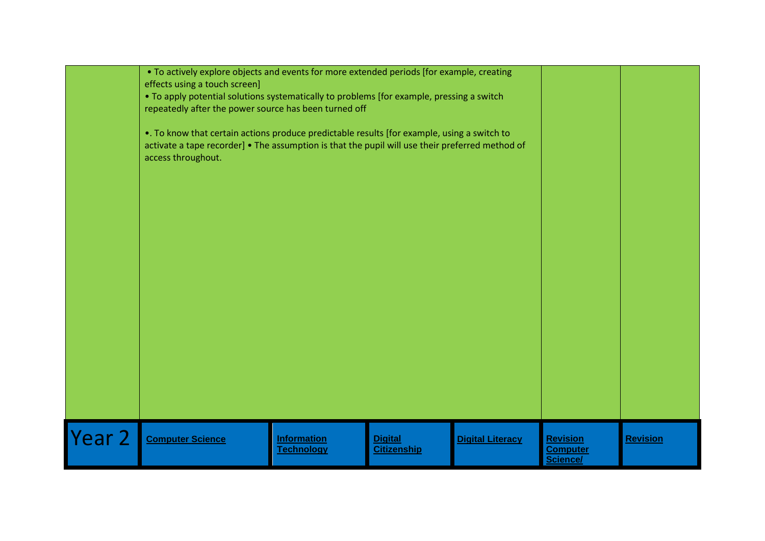|                   | • To actively explore objects and events for more extended periods [for example, creating<br>effects using a touch screen]<br>. To apply potential solutions systematically to problems [for example, pressing a switch<br>repeatedly after the power source has been turned off<br>•. To know that certain actions produce predictable results [for example, using a switch to<br>activate a tape recorder] • The assumption is that the pupil will use their preferred method of<br>access throughout. |                                         |                                      |                         |                                                |                 |
|-------------------|----------------------------------------------------------------------------------------------------------------------------------------------------------------------------------------------------------------------------------------------------------------------------------------------------------------------------------------------------------------------------------------------------------------------------------------------------------------------------------------------------------|-----------------------------------------|--------------------------------------|-------------------------|------------------------------------------------|-----------------|
| Year <sub>2</sub> | <b>Computer Science</b>                                                                                                                                                                                                                                                                                                                                                                                                                                                                                  | <b>Information</b><br><b>Technology</b> | <b>Digital</b><br><b>Citizenship</b> | <b>Digital Literacy</b> | <b>Revision</b><br><u>Computer</u><br>Science/ | <b>Revision</b> |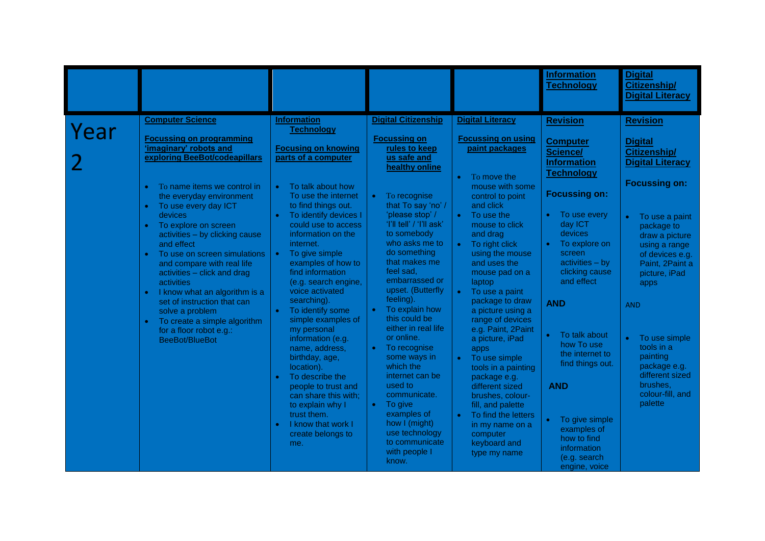|      |                                                                                                                                                                                                                                                                                                                                                                                                                                                                                                                                                                                                                            |                                                                                                                                                                                                                                                                                                                                                                                                                                                                                                                                                                                                                                                                                                                                  |                                                                                                                                                                                                                                                                                                                                                                                                                                                                                                                                                                                                                                                             |                                                                                                                                                                                                                                                                                                                                                                                                                                                                                                                                                                                                                                                        | <b>Information</b><br><b>Technology</b>                                                                                                                                                                                                                                                                                                                                                                                                                               | <b>Digital</b><br>Citizenship/<br><b>Digital Literacy</b>                                                                                                                                                                                                                                                                                                                                         |
|------|----------------------------------------------------------------------------------------------------------------------------------------------------------------------------------------------------------------------------------------------------------------------------------------------------------------------------------------------------------------------------------------------------------------------------------------------------------------------------------------------------------------------------------------------------------------------------------------------------------------------------|----------------------------------------------------------------------------------------------------------------------------------------------------------------------------------------------------------------------------------------------------------------------------------------------------------------------------------------------------------------------------------------------------------------------------------------------------------------------------------------------------------------------------------------------------------------------------------------------------------------------------------------------------------------------------------------------------------------------------------|-------------------------------------------------------------------------------------------------------------------------------------------------------------------------------------------------------------------------------------------------------------------------------------------------------------------------------------------------------------------------------------------------------------------------------------------------------------------------------------------------------------------------------------------------------------------------------------------------------------------------------------------------------------|--------------------------------------------------------------------------------------------------------------------------------------------------------------------------------------------------------------------------------------------------------------------------------------------------------------------------------------------------------------------------------------------------------------------------------------------------------------------------------------------------------------------------------------------------------------------------------------------------------------------------------------------------------|-----------------------------------------------------------------------------------------------------------------------------------------------------------------------------------------------------------------------------------------------------------------------------------------------------------------------------------------------------------------------------------------------------------------------------------------------------------------------|---------------------------------------------------------------------------------------------------------------------------------------------------------------------------------------------------------------------------------------------------------------------------------------------------------------------------------------------------------------------------------------------------|
| Year | <b>Computer Science</b><br><b>Focussing on programming</b><br>'imaginary' robots and<br>exploring BeeBot/codeapillars<br>To name items we control in<br>the everyday environment<br>To use every day ICT<br>$\bullet$<br>devices<br>To explore on screen<br>$\bullet$<br>activities - by clicking cause<br>and effect<br>To use on screen simulations<br>$\bullet$<br>and compare with real life<br>activities - click and drag<br>activities<br>I know what an algorithm is a<br>$\bullet$<br>set of instruction that can<br>solve a problem<br>To create a simple algorithm<br>for a floor robot e.g.:<br>BeeBot/BlueBot | <b>Information</b><br><b>Technology</b><br><b>Focusing on knowing</b><br>parts of a computer<br>To talk about how<br>$\bullet$<br>To use the internet<br>to find things out.<br>To identify devices I<br>$\bullet$<br>could use to access<br>information on the<br>internet.<br>To give simple<br>$\bullet$<br>examples of how to<br>find information<br>(e.g. search engine,<br>voice activated<br>searching).<br>To identify some<br>$\bullet$<br>simple examples of<br>my personal<br>information (e.g.<br>name, address,<br>birthday, age,<br>location).<br>To describe the<br>people to trust and<br>can share this with;<br>to explain why I<br>trust them.<br>I know that work I<br>$\bullet$<br>create belongs to<br>me. | <b>Digital Citizenship</b><br><b>Focussing on</b><br>rules to keep<br>us safe and<br>healthy online<br>To recognise<br>$\bullet$<br>that To say 'no' /<br>'please stop' /<br>'I'll tell' / 'I'll ask'<br>to somebody<br>who asks me to<br>do something<br>that makes me<br>feel sad,<br>embarrassed or<br>upset. (Butterfly<br>feeling).<br>To explain how<br>$\bullet$<br>this could be<br>either in real life<br>or online.<br>To recognise<br>$\bullet$<br>some ways in<br>which the<br>internet can be<br>used to<br>communicate.<br>To give<br>$\bullet$<br>examples of<br>how I (might)<br>use technology<br>to communicate<br>with people I<br>know. | <b>Digital Literacy</b><br><b>Focussing on using</b><br>paint packages<br>To move the<br>mouse with some<br>control to point<br>and click<br>To use the<br>$\bullet$<br>mouse to click<br>and drag<br>To right click<br>$\bullet$<br>using the mouse<br>and uses the<br>mouse pad on a<br>laptop<br>To use a paint<br>package to draw<br>a picture using a<br>range of devices<br>e.g. Paint, 2Paint<br>a picture, iPad<br>apps<br>To use simple<br>$\bullet$<br>tools in a painting<br>package e.g.<br>different sized<br>brushes, colour-<br>fill, and palette<br>To find the letters<br>in my name on a<br>computer<br>keyboard and<br>type my name | <b>Revision</b><br><b>Computer</b><br>Science/<br><b>Information</b><br><b>Technology</b><br><b>Focussing on:</b><br>• To use every<br>day ICT<br>devices<br>To explore on<br>$\bullet$<br>screen<br>$activities - by$<br>clicking cause<br>and effect<br><b>AND</b><br>To talk about<br>$\bullet$<br>how To use<br>the internet to<br>find things out.<br><b>AND</b><br>To give simple<br>examples of<br>how to find<br>information<br>(e.g. search<br>engine, voice | <b>Revision</b><br><b>Digital</b><br><b>Citizenship/</b><br><b>Digital Literacy</b><br><b>Focussing on:</b><br>To use a paint<br>$\bullet$<br>package to<br>draw a picture<br>using a range<br>of devices e.g.<br>Paint, 2Paint a<br>picture, iPad<br>apps<br><b>AND</b><br>To use simple<br>tools in a<br>painting<br>package e.g.<br>different sized<br>brushes,<br>colour-fill, and<br>palette |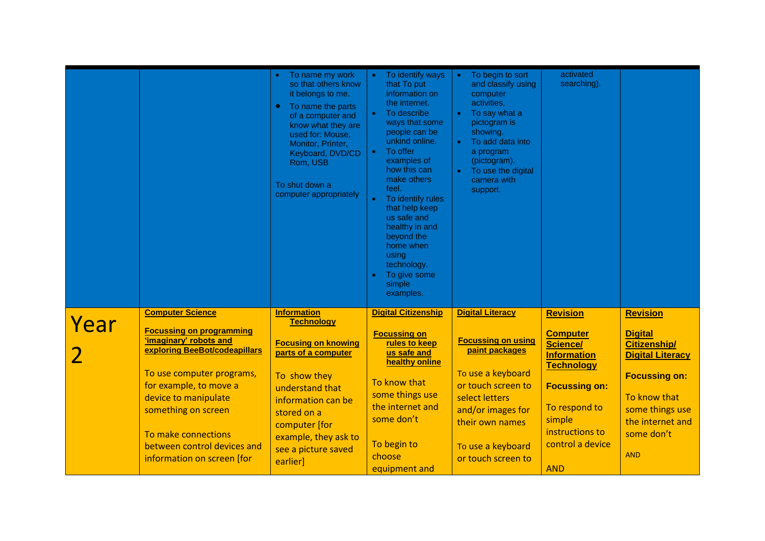|      |                                                                                                    | To name my work<br>so that others know<br>it belongs to me.<br>To name the parts<br>$\bullet$<br>of a computer and<br>know what they are<br>used for: Mouse,<br>Monitor, Printer,<br>Keyboard, DVD/CD<br>Rom, USB<br>To shut down a<br>computer appropriately | To identify ways<br>that To put<br>information on<br>the internet.<br>To describe<br>ways that some<br>people can be<br>unkind online.<br>To offer<br>examples of<br>how this can<br>make others<br>feel.<br>To identify rules<br>that help keep<br>us safe and<br>healthy in and<br>beyond the<br>home when<br>using<br>technology.<br>To give some<br>simple<br>examples. | To begin to sort<br>and classify using<br>computer<br>activities.<br>To say what a<br>$\bullet$<br>pictogram is<br>showing.<br>To add data into<br>a program<br>(pictogram).<br>To use the digital<br>$\bullet$<br>camera with<br>support. | activated<br>searching).                                             |                                                                             |
|------|----------------------------------------------------------------------------------------------------|---------------------------------------------------------------------------------------------------------------------------------------------------------------------------------------------------------------------------------------------------------------|-----------------------------------------------------------------------------------------------------------------------------------------------------------------------------------------------------------------------------------------------------------------------------------------------------------------------------------------------------------------------------|--------------------------------------------------------------------------------------------------------------------------------------------------------------------------------------------------------------------------------------------|----------------------------------------------------------------------|-----------------------------------------------------------------------------|
| Year | <b>Computer Science</b>                                                                            | <b>Information</b><br><b>Technology</b>                                                                                                                                                                                                                       | <b>Digital Citizenship</b>                                                                                                                                                                                                                                                                                                                                                  | <b>Digital Literacy</b>                                                                                                                                                                                                                    | <b>Revision</b>                                                      | <b>Revision</b>                                                             |
|      | <b>Focussing on programming</b><br>'imaginary' robots and<br>exploring BeeBot/codeapillars         | <b>Focusing on knowing</b><br>parts of a computer                                                                                                                                                                                                             | <b>Focussing on</b><br>rules to keep<br>us safe and<br>healthy online                                                                                                                                                                                                                                                                                                       | <b>Focussing on using</b><br>paint packages                                                                                                                                                                                                | <b>Computer</b><br>Science/<br><b>Information</b>                    | <b>Digital</b><br><b>Citizenship/</b><br><b>Digital Literacy</b>            |
|      | To use computer programs,<br>for example, to move a<br>device to manipulate<br>something on screen | To show they<br>understand that<br>information can be<br>stored on a<br>computer [for                                                                                                                                                                         | To know that<br>some things use<br>the internet and<br>some don't                                                                                                                                                                                                                                                                                                           | To use a keyboard<br>or touch screen to<br>select letters<br>and/or images for<br>their own names                                                                                                                                          | <b>Technology</b><br><b>Focussing on:</b><br>To respond to<br>simple | <b>Focussing on:</b><br>To know that<br>some things use<br>the internet and |
|      | To make connections<br>between control devices and<br>information on screen [for                   | example, they ask to<br>see a picture saved<br>earlier]                                                                                                                                                                                                       | To begin to<br>choose<br>equipment and                                                                                                                                                                                                                                                                                                                                      | To use a keyboard<br>or touch screen to                                                                                                                                                                                                    | instructions to<br>control a device<br><b>AND</b>                    | some don't<br><b>AND</b>                                                    |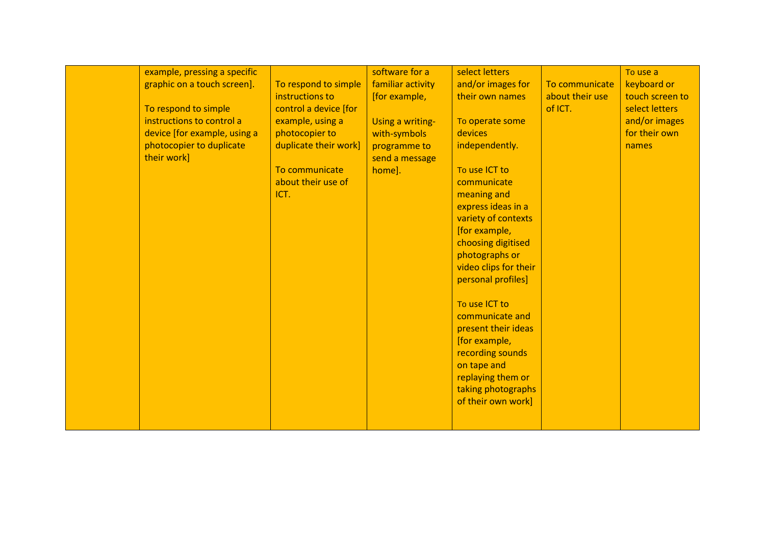| example, pressing a specific |                       | software for a    | select letters        |                 | To use a        |
|------------------------------|-----------------------|-------------------|-----------------------|-----------------|-----------------|
| graphic on a touch screen].  | To respond to simple  | familiar activity | and/or images for     | To communicate  | keyboard or     |
|                              | instructions to       | [for example,     | their own names       | about their use | touch screen to |
| To respond to simple         | control a device [for |                   |                       | of ICT.         | select letters  |
| instructions to control a    | example, using a      | Using a writing-  | To operate some       |                 | and/or images   |
| device [for example, using a | photocopier to        | with-symbols      | devices               |                 | for their own   |
| photocopier to duplicate     | duplicate their work] | programme to      | independently.        |                 | names           |
| their work]                  |                       | send a message    |                       |                 |                 |
|                              | To communicate        | home].            | To use ICT to         |                 |                 |
|                              | about their use of    |                   | communicate           |                 |                 |
|                              | ICT.                  |                   | meaning and           |                 |                 |
|                              |                       |                   | express ideas in a    |                 |                 |
|                              |                       |                   | variety of contexts   |                 |                 |
|                              |                       |                   | [for example,         |                 |                 |
|                              |                       |                   | choosing digitised    |                 |                 |
|                              |                       |                   | photographs or        |                 |                 |
|                              |                       |                   | video clips for their |                 |                 |
|                              |                       |                   | personal profiles]    |                 |                 |
|                              |                       |                   |                       |                 |                 |
|                              |                       |                   | To use ICT to         |                 |                 |
|                              |                       |                   | communicate and       |                 |                 |
|                              |                       |                   | present their ideas   |                 |                 |
|                              |                       |                   | [for example,         |                 |                 |
|                              |                       |                   | recording sounds      |                 |                 |
|                              |                       |                   | on tape and           |                 |                 |
|                              |                       |                   | replaying them or     |                 |                 |
|                              |                       |                   | taking photographs    |                 |                 |
|                              |                       |                   | of their own work]    |                 |                 |
|                              |                       |                   |                       |                 |                 |
|                              |                       |                   |                       |                 |                 |
|                              |                       |                   |                       |                 |                 |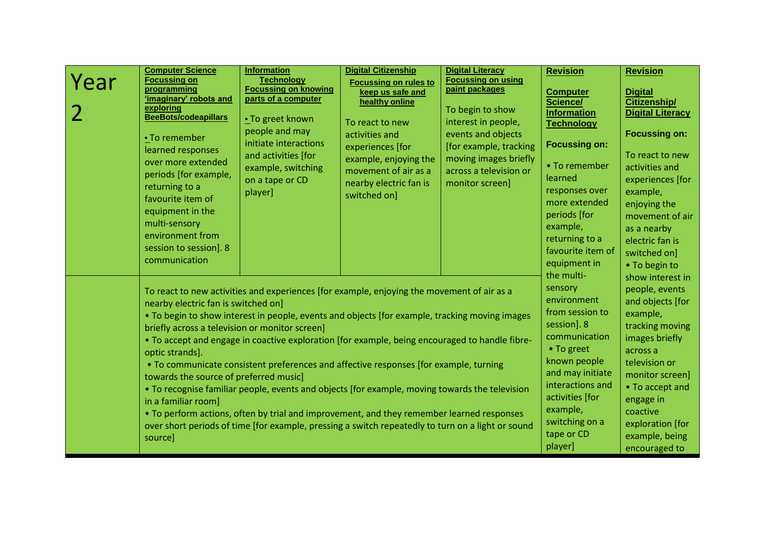| Year | <b>Computer Science</b><br><b>Focussing on</b><br>programming<br>'imaginary' robots and<br>exploring<br><b>BeeBots/codeapillars</b><br>• To remember<br>learned responses<br>over more extended<br>periods [for example,<br>returning to a<br>favourite item of<br>equipment in the<br>multi-sensory<br>environment from<br>session to session]. 8<br>communication | <b>Information</b><br><b>Technology</b><br><b>Focussing on knowing</b><br>parts of a computer<br>• To greet known<br>people and may<br>initiate interactions<br>and activities [for<br>example, switching<br>on a tape or CD<br>player] | <b>Digital Citizenship</b><br><b>Focussing on rules to</b><br>keep us safe and<br>healthy online<br>To react to new<br>activities and<br>experiences [for<br>example, enjoying the<br>movement of air as a<br>nearby electric fan is<br>switched on]                                                                                                                                                                                                                                                                                                                                                                                                                                        | <b>Digital Literacy</b><br><b>Focussing on using</b><br>paint packages<br>To begin to show<br>interest in people,<br>events and objects<br>[for example, tracking<br>moving images briefly<br>across a television or<br>monitor screen] | <b>Revision</b><br><b>Computer</b><br>Science/<br><b>Information</b><br><b>Technology</b><br><b>Focussing on:</b><br>• To remember<br>learned<br>responses over<br>more extended<br>periods [for<br>example,<br>returning to a<br>favourite item of<br>equipment in | <b>Revision</b><br><b>Digital</b><br>Citizenship/<br><b>Digital Literacy</b><br><b>Focussing on:</b><br>To react to new<br>activities and<br>experiences [for<br>example,<br>enjoying the<br>movement of air<br>as a nearby<br>electric fan is<br>switched on]<br>• To begin to |
|------|---------------------------------------------------------------------------------------------------------------------------------------------------------------------------------------------------------------------------------------------------------------------------------------------------------------------------------------------------------------------|-----------------------------------------------------------------------------------------------------------------------------------------------------------------------------------------------------------------------------------------|---------------------------------------------------------------------------------------------------------------------------------------------------------------------------------------------------------------------------------------------------------------------------------------------------------------------------------------------------------------------------------------------------------------------------------------------------------------------------------------------------------------------------------------------------------------------------------------------------------------------------------------------------------------------------------------------|-----------------------------------------------------------------------------------------------------------------------------------------------------------------------------------------------------------------------------------------|---------------------------------------------------------------------------------------------------------------------------------------------------------------------------------------------------------------------------------------------------------------------|---------------------------------------------------------------------------------------------------------------------------------------------------------------------------------------------------------------------------------------------------------------------------------|
|      | nearby electric fan is switched on]<br>briefly across a television or monitor screen]<br>optic strands].<br>towards the source of preferred music]<br>in a familiar room]<br>source]                                                                                                                                                                                |                                                                                                                                                                                                                                         | To react to new activities and experiences [for example, enjoying the movement of air as a<br>• To begin to show interest in people, events and objects [for example, tracking moving images<br>. To accept and engage in coactive exploration [for example, being encouraged to handle fibre-<br>• To communicate consistent preferences and affective responses [for example, turning<br>• To recognise familiar people, events and objects [for example, moving towards the television<br>• To perform actions, often by trial and improvement, and they remember learned responses<br>over short periods of time [for example, pressing a switch repeatedly to turn on a light or sound |                                                                                                                                                                                                                                         | the multi-<br>sensory<br>environment<br>from session to<br>session]. 8<br>communication<br>• To greet<br>known people<br>and may initiate<br>interactions and<br>activities [for<br>example,<br>switching on a<br>tape or CD<br>player]                             | show interest in<br>people, events<br>and objects [for<br>example,<br>tracking moving<br>images briefly<br>across a<br>television or<br>monitor screen]<br>• To accept and<br>engage in<br>coactive<br>exploration [for<br>example, being<br>encouraged to                      |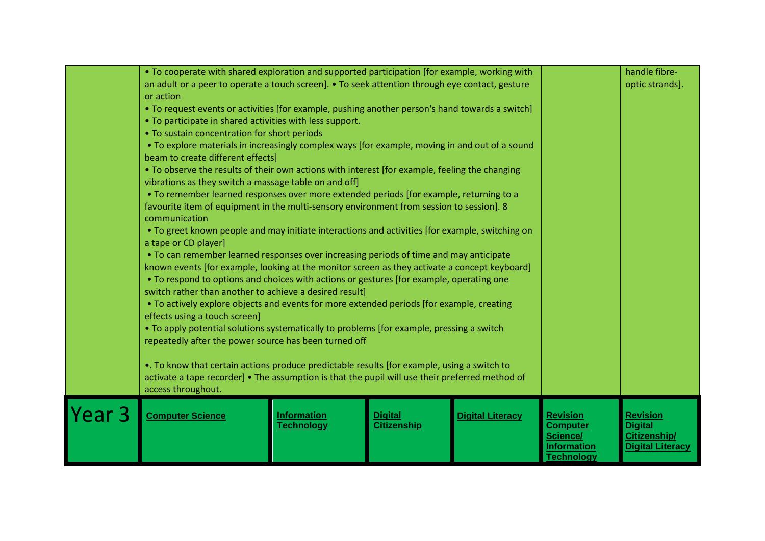|                   | • To cooperate with shared exploration and supported participation [for example, working with<br>an adult or a peer to operate a touch screen]. • To seek attention through eye contact, gesture<br>or action                                                                                                                                  |                                         |                                      |                         |                                                | handle fibre-<br>optic strands].                  |
|-------------------|------------------------------------------------------------------------------------------------------------------------------------------------------------------------------------------------------------------------------------------------------------------------------------------------------------------------------------------------|-----------------------------------------|--------------------------------------|-------------------------|------------------------------------------------|---------------------------------------------------|
|                   | • To request events or activities [for example, pushing another person's hand towards a switch]<br>• To participate in shared activities with less support.                                                                                                                                                                                    |                                         |                                      |                         |                                                |                                                   |
|                   | • To sustain concentration for short periods<br>• To explore materials in increasingly complex ways [for example, moving in and out of a sound<br>beam to create different effects]                                                                                                                                                            |                                         |                                      |                         |                                                |                                                   |
|                   | • To observe the results of their own actions with interest [for example, feeling the changing<br>vibrations as they switch a massage table on and off]                                                                                                                                                                                        |                                         |                                      |                         |                                                |                                                   |
|                   | • To remember learned responses over more extended periods [for example, returning to a<br>favourite item of equipment in the multi-sensory environment from session to session]. 8<br>communication                                                                                                                                           |                                         |                                      |                         |                                                |                                                   |
|                   | . To greet known people and may initiate interactions and activities [for example, switching on<br>a tape or CD player]                                                                                                                                                                                                                        |                                         |                                      |                         |                                                |                                                   |
|                   | • To can remember learned responses over increasing periods of time and may anticipate<br>known events [for example, looking at the monitor screen as they activate a concept keyboard]<br>• To respond to options and choices with actions or gestures [for example, operating one<br>switch rather than another to achieve a desired result] |                                         |                                      |                         |                                                |                                                   |
|                   | • To actively explore objects and events for more extended periods [for example, creating<br>effects using a touch screen]                                                                                                                                                                                                                     |                                         |                                      |                         |                                                |                                                   |
|                   | • To apply potential solutions systematically to problems [for example, pressing a switch<br>repeatedly after the power source has been turned off                                                                                                                                                                                             |                                         |                                      |                         |                                                |                                                   |
|                   | •. To know that certain actions produce predictable results [for example, using a switch to<br>activate a tape recorder] • The assumption is that the pupil will use their preferred method of<br>access throughout.                                                                                                                           |                                         |                                      |                         |                                                |                                                   |
| Year <sub>3</sub> | <b>Computer Science</b>                                                                                                                                                                                                                                                                                                                        | <b>Information</b><br><b>Technology</b> | <b>Digital</b><br><b>Citizenship</b> | <b>Digital Literacy</b> | <b>Revision</b><br><b>Computer</b><br>Science/ | <b>Revision</b><br><b>Digital</b><br>Citizenship/ |
|                   |                                                                                                                                                                                                                                                                                                                                                |                                         |                                      |                         | <b>Information</b><br><b>Technology</b>        | <b>Digital Literacy</b>                           |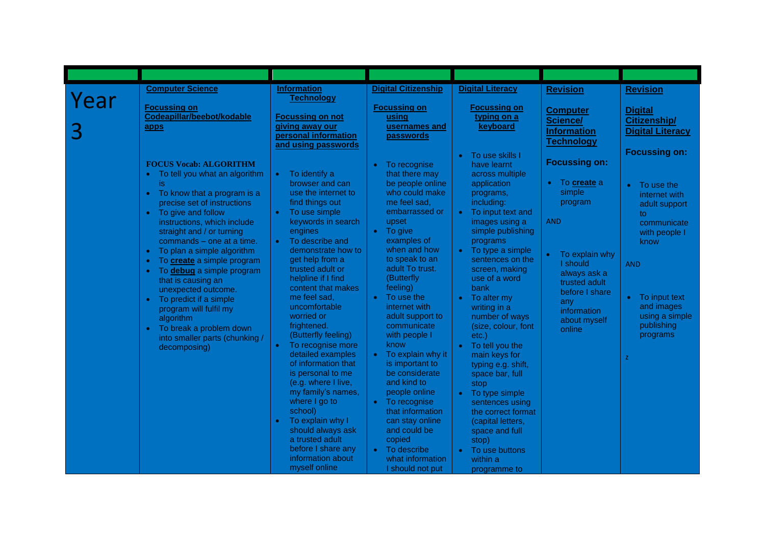| <b>Computer Science</b><br><b>Digital Citizenship</b><br><b>Digital Literacy</b><br><b>Information</b><br><b>Revision</b><br><b>Revision</b><br>Year<br><b>Technology</b><br><b>Focussing on</b><br><b>Focussing on</b><br><b>Focussing on</b><br><b>Digital</b><br><b>Computer</b><br>Codeapillar/beebot/kodable<br><b>Focussing on not</b><br>typing on a<br>using<br>Citizenship/<br>Science/<br>giving away our<br>keyboard<br>usernames and<br>apps<br><b>Digital Literacy</b><br><b>Information</b><br>personal information<br>passwords<br><b>Technology</b><br>and using passwords<br><b>Focussing on:</b><br>To use skills I<br>$\bullet$<br><b>Focussing on:</b><br><b>FOCUS Vocab: ALGORITHM</b><br>To recognise<br>have learnt<br>$\bullet$<br>• To tell you what an algorithm<br>To identify a<br>that there may<br>across multiple<br>$\bullet$<br>To create a<br>browser and can<br>be people online<br>application<br>is<br>$\bullet$<br>To use the<br>$\bullet$<br>simple<br>who could make<br>• To know that a program is a<br>use the internet to<br>programs,<br>internet with<br>find things out<br>me feel sad,<br>including:<br>precise set of instructions<br>program<br>adult support<br>embarrassed or<br>To use simple<br>To input text and<br>To give and follow<br>$\bullet$<br>$\bullet$<br>$\bullet$<br>to<br>keywords in search<br>upset<br>images using a<br><b>AND</b><br>instructions, which include<br>communicate<br>$\bullet$ To give<br>straight and / or turning<br>simple publishing<br>engines<br>with people I<br>examples of<br>To describe and<br>programs<br>commands – one at a time.<br>$\bullet$<br>know<br>when and how<br>To type a simple<br>demonstrate how to<br>To plan a simple algorithm<br>$\bullet$<br>To explain why<br>to speak to an<br>get help from a<br>sentences on the<br>To <b>create</b> a simple program<br>I should<br><b>AND</b><br>adult To trust.<br>trusted adult or<br>screen, making<br>To <b>debug</b> a simple program<br>always ask a<br>(Butterfly<br>use of a word<br>helpline if I find<br>that is causing an<br>trusted adult<br>feeling)<br>content that makes<br>bank<br>unexpected outcome.<br>before I share<br>To input text<br>To use the<br>me feel sad.<br>$\bullet$<br>To alter my<br>$\bullet$<br>$\bullet$<br>To predict if a simple<br>any<br>uncomfortable<br>and images<br>internet with<br>writing in a<br>program will fulfil my<br>information<br>using a simple<br>worried or<br>adult support to<br>number of ways<br>algorithm<br>about myself<br>publishing<br>frightened.<br>communicate<br>(size, colour, font<br>To break a problem down<br>online<br>(Butterfly feeling)<br>with people I<br>programs<br>etc.)<br>into smaller parts (chunking /<br>To recognise more<br>know<br>$\bullet$<br>To tell you the<br>$\bullet$<br>decomposing)<br>To explain why it<br>detailed examples<br>main keys for<br>$\bullet$<br>$\mathbf{z}$<br>of information that<br>is important to<br>typing e.g. shift,<br>is personal to me<br>be considerate<br>space bar, full<br>(e.g. where I live,<br>and kind to<br>stop<br>my family's names,<br>people online<br>To type simple<br>$\bullet$<br>where I go to<br>• To recognise<br>sentences using<br>school)<br>that information<br>the correct format<br>To explain why I<br>can stay online<br>(capital letters, |
|----------------------------------------------------------------------------------------------------------------------------------------------------------------------------------------------------------------------------------------------------------------------------------------------------------------------------------------------------------------------------------------------------------------------------------------------------------------------------------------------------------------------------------------------------------------------------------------------------------------------------------------------------------------------------------------------------------------------------------------------------------------------------------------------------------------------------------------------------------------------------------------------------------------------------------------------------------------------------------------------------------------------------------------------------------------------------------------------------------------------------------------------------------------------------------------------------------------------------------------------------------------------------------------------------------------------------------------------------------------------------------------------------------------------------------------------------------------------------------------------------------------------------------------------------------------------------------------------------------------------------------------------------------------------------------------------------------------------------------------------------------------------------------------------------------------------------------------------------------------------------------------------------------------------------------------------------------------------------------------------------------------------------------------------------------------------------------------------------------------------------------------------------------------------------------------------------------------------------------------------------------------------------------------------------------------------------------------------------------------------------------------------------------------------------------------------------------------------------------------------------------------------------------------------------------------------------------------------------------------------------------------------------------------------------------------------------------------------------------------------------------------------------------------------------------------------------------------------------------------------------------------------------------------------------------------------------------------------------------------------------------------------------------------------------------------------------------------------------------------------------------------------------------------------------------------------------------------------------------------------------------------------------------------------------------------------------------------------------------------------|
| should always ask<br>and could be<br>space and full<br>a trusted adult<br>copied<br>stop)<br>before I share any<br>To describe                                                                                                                                                                                                                                                                                                                                                                                                                                                                                                                                                                                                                                                                                                                                                                                                                                                                                                                                                                                                                                                                                                                                                                                                                                                                                                                                                                                                                                                                                                                                                                                                                                                                                                                                                                                                                                                                                                                                                                                                                                                                                                                                                                                                                                                                                                                                                                                                                                                                                                                                                                                                                                                                                                                                                                                                                                                                                                                                                                                                                                                                                                                                                                                                                                       |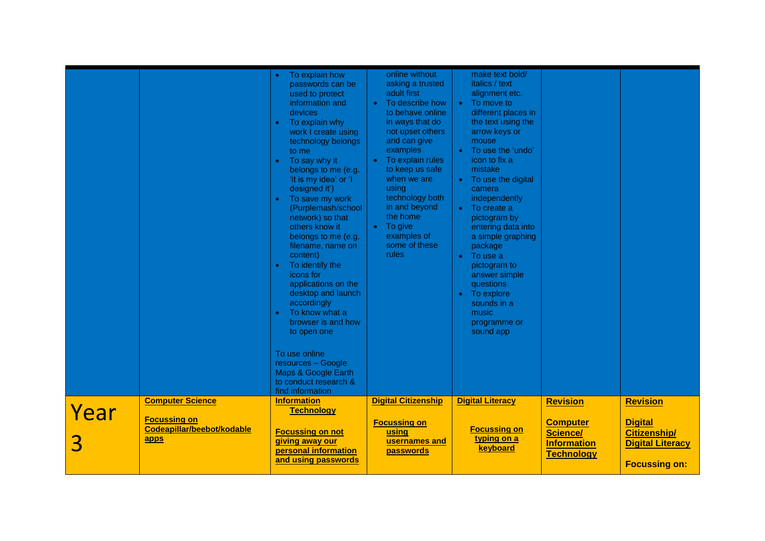|           |                                                                                      | To explain how<br>passwords can be<br>used to protect<br>information and<br>devices<br>To explain why<br>$\bullet$<br>work I create using<br>technology belongs<br>to me<br>To say why it<br>$\bullet$<br>belongs to me (e.g.<br>'it is my idea' or 'l<br>designed it')<br>To save my work<br>$\bullet$<br>(Purplemash/school<br>network) so that<br>others know it<br>belongs to me (e.g.<br>filename, name on<br>content)<br>To identify the<br>icons for<br>applications on the<br>desktop and launch<br>accordingly<br>To know what a<br>browser is and how<br>to open one<br>To use online<br>resources - Google<br>Maps & Google Earth | online without<br>asking a trusted<br>adult first<br>To describe how<br>to behave online<br>in ways that do<br>not upset others<br>and can give<br>examples<br>To explain rules<br>$\bullet$<br>to keep us safe<br>when we are<br>using<br>technology both<br>in and beyond<br>the home<br>To give<br>$\bullet$ .<br>examples of<br>some of these<br><b>rules</b> | make text bold/<br>italics / text<br>alignment etc.<br>To move to<br>$\bullet$<br>different places in<br>the text using the<br>arrow keys or<br>mouse<br>To use the 'undo'<br>$\bullet$<br>icon to fix a<br>mistake<br>To use the digital<br>$\bullet$<br>camera<br>independently<br>$\bullet$ To create a<br>pictogram by<br>entering data into<br>a simple graphing<br>package<br>To use a<br>$\bullet$<br>pictogram to<br>answer simple<br>questions<br>To explore<br>$\bullet$<br>sounds in a<br>music<br>programme or<br>sound app |                                                                                                  |                                                                                                             |
|-----------|--------------------------------------------------------------------------------------|----------------------------------------------------------------------------------------------------------------------------------------------------------------------------------------------------------------------------------------------------------------------------------------------------------------------------------------------------------------------------------------------------------------------------------------------------------------------------------------------------------------------------------------------------------------------------------------------------------------------------------------------|-------------------------------------------------------------------------------------------------------------------------------------------------------------------------------------------------------------------------------------------------------------------------------------------------------------------------------------------------------------------|-----------------------------------------------------------------------------------------------------------------------------------------------------------------------------------------------------------------------------------------------------------------------------------------------------------------------------------------------------------------------------------------------------------------------------------------------------------------------------------------------------------------------------------------|--------------------------------------------------------------------------------------------------|-------------------------------------------------------------------------------------------------------------|
|           |                                                                                      | to conduct research &<br>find information                                                                                                                                                                                                                                                                                                                                                                                                                                                                                                                                                                                                    |                                                                                                                                                                                                                                                                                                                                                                   |                                                                                                                                                                                                                                                                                                                                                                                                                                                                                                                                         |                                                                                                  |                                                                                                             |
| Year<br>3 | <b>Computer Science</b><br><b>Focussing on</b><br>Codeapillar/beebot/kodable<br>apps | <b>Information</b><br><b>Technology</b><br><b>Focussing on not</b><br>giving away our<br>personal information<br>and using passwords                                                                                                                                                                                                                                                                                                                                                                                                                                                                                                         | <b>Digital Citizenship</b><br><b>Focussing on</b><br>using<br>usernames and<br>passwords                                                                                                                                                                                                                                                                          | <b>Digital Literacy</b><br><b>Focussing on</b><br>typing on a<br>keyboard                                                                                                                                                                                                                                                                                                                                                                                                                                                               | <b>Revision</b><br><b>Computer</b><br><b>Science/</b><br><b>Information</b><br><b>Technology</b> | <b>Revision</b><br><b>Digital</b><br><b>Citizenship/</b><br><b>Digital Literacy</b><br><b>Focussing on:</b> |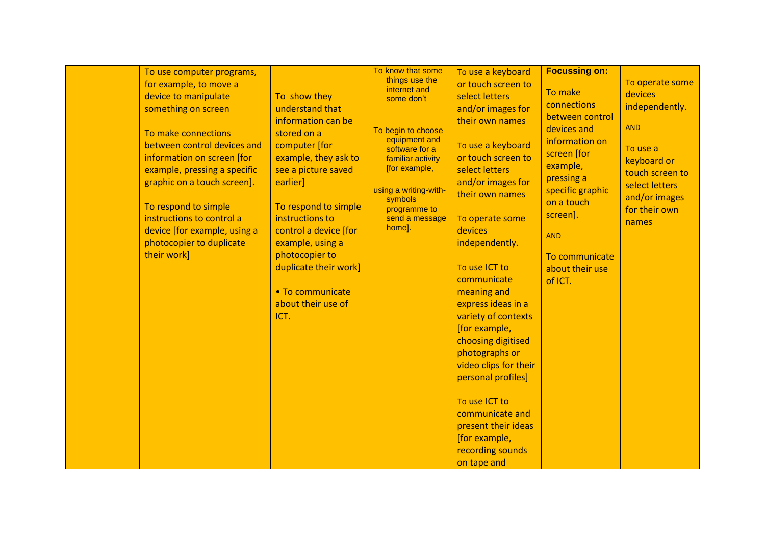| To use computer programs,    |                       | To know that some     | To use a keyboard     | <b>Focussing on:</b> |                 |
|------------------------------|-----------------------|-----------------------|-----------------------|----------------------|-----------------|
| for example, to move a       |                       | things use the        | or touch screen to    |                      | To operate some |
| device to manipulate         | To show they          | internet and          | select letters        | To make              | devices         |
|                              | understand that       | some don't            | and/or images for     | connections          | independently.  |
| something on screen          |                       |                       |                       | between control      |                 |
|                              | information can be    | To begin to choose    | their own names       | devices and          | <b>AND</b>      |
| To make connections          | stored on a           | equipment and         |                       | information on       |                 |
| between control devices and  | computer [for         | software for a        | To use a keyboard     | screen [for          | To use a        |
| information on screen [for   | example, they ask to  | familiar activity     | or touch screen to    | example,             | keyboard or     |
| example, pressing a specific | see a picture saved   | [for example,         | select letters        | pressing a           | touch screen to |
| graphic on a touch screen].  | earlier]              | using a writing-with- | and/or images for     | specific graphic     | select letters  |
|                              |                       | symbols               | their own names       | on a touch           | and/or images   |
| To respond to simple         | To respond to simple  | programme to          |                       |                      | for their own   |
| instructions to control a    | instructions to       | send a message        | To operate some       | screen].             | names           |
| device [for example, using a | control a device [for | home].                | devices               | <b>AND</b>           |                 |
| photocopier to duplicate     | example, using a      |                       | independently.        |                      |                 |
| their work]                  | photocopier to        |                       |                       | To communicate       |                 |
|                              | duplicate their work] |                       | To use ICT to         | about their use      |                 |
|                              |                       |                       | communicate           | of ICT.              |                 |
|                              | • To communicate      |                       | meaning and           |                      |                 |
|                              | about their use of    |                       | express ideas in a    |                      |                 |
|                              | ICT.                  |                       | variety of contexts   |                      |                 |
|                              |                       |                       | [for example,         |                      |                 |
|                              |                       |                       | choosing digitised    |                      |                 |
|                              |                       |                       | photographs or        |                      |                 |
|                              |                       |                       | video clips for their |                      |                 |
|                              |                       |                       | personal profiles]    |                      |                 |
|                              |                       |                       |                       |                      |                 |
|                              |                       |                       | To use ICT to         |                      |                 |
|                              |                       |                       | communicate and       |                      |                 |
|                              |                       |                       | present their ideas   |                      |                 |
|                              |                       |                       | [for example,         |                      |                 |
|                              |                       |                       |                       |                      |                 |
|                              |                       |                       | recording sounds      |                      |                 |
|                              |                       |                       | on tape and           |                      |                 |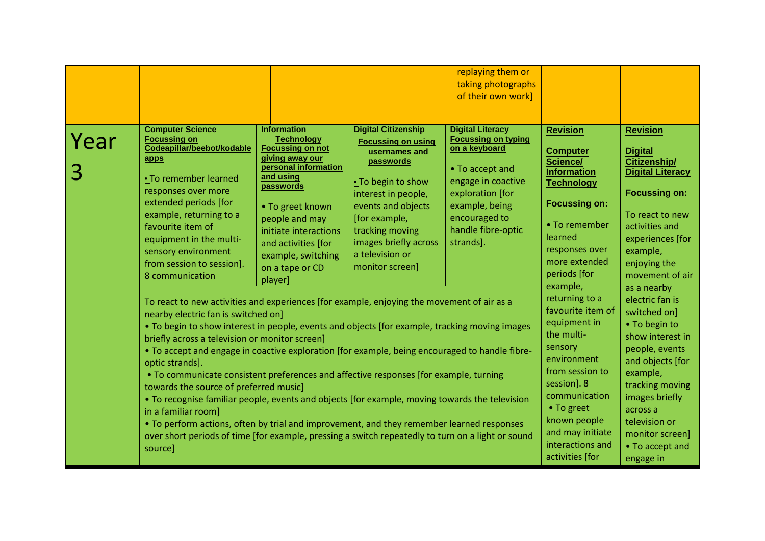|           |                                                                                                                                                                                                                                                                                                                                                                                                                                                                                                                                                                                                                                                                                                                                                                                                                                                                                     |                                                                                                                                                                                                                                                                                   |                                                                                                                                                                                                                                                             | replaying them or<br>taking photographs<br>of their own work]                                                                                                                                             |                                                                                                                                                                                                                                                     |                                                                                                                                                                                                                                                            |
|-----------|-------------------------------------------------------------------------------------------------------------------------------------------------------------------------------------------------------------------------------------------------------------------------------------------------------------------------------------------------------------------------------------------------------------------------------------------------------------------------------------------------------------------------------------------------------------------------------------------------------------------------------------------------------------------------------------------------------------------------------------------------------------------------------------------------------------------------------------------------------------------------------------|-----------------------------------------------------------------------------------------------------------------------------------------------------------------------------------------------------------------------------------------------------------------------------------|-------------------------------------------------------------------------------------------------------------------------------------------------------------------------------------------------------------------------------------------------------------|-----------------------------------------------------------------------------------------------------------------------------------------------------------------------------------------------------------|-----------------------------------------------------------------------------------------------------------------------------------------------------------------------------------------------------------------------------------------------------|------------------------------------------------------------------------------------------------------------------------------------------------------------------------------------------------------------------------------------------------------------|
| Year<br>З | <b>Computer Science</b><br><b>Focussing on</b><br>Codeapillar/beebot/kodable<br>apps<br>• To remember learned<br>responses over more<br>extended periods [for<br>example, returning to a<br>favourite item of<br>equipment in the multi-<br>sensory environment<br>from session to session].<br>8 communication                                                                                                                                                                                                                                                                                                                                                                                                                                                                                                                                                                     | <b>Information</b><br><b>Technology</b><br><b>Focussing on not</b><br>giving away our<br>personal information<br>and using<br>passwords<br>• To greet known<br>people and may<br>initiate interactions<br>and activities [for<br>example, switching<br>on a tape or CD<br>player] | <b>Digital Citizenship</b><br><b>Focussing on using</b><br>usernames and<br>passwords<br>. To begin to show<br>interest in people,<br>events and objects<br>[for example,<br>tracking moving<br>images briefly across<br>a television or<br>monitor screen] | <b>Digital Literacy</b><br><b>Focussing on typing</b><br>on a keyboard<br>• To accept and<br>engage in coactive<br>exploration [for<br>example, being<br>encouraged to<br>handle fibre-optic<br>strands]. | <b>Revision</b><br><b>Computer</b><br>Science/<br><b>Information</b><br><b>Technology</b><br><b>Focussing on:</b><br>• To remember<br>learned<br>responses over<br>more extended<br>periods [for                                                    | <b>Revision</b><br><b>Digital</b><br>Citizenship/<br><b>Digital Literacy</b><br><b>Focussing on:</b><br>To react to new<br>activities and<br>experiences [for<br>example,<br>enjoying the<br>movement of air                                               |
|           | To react to new activities and experiences [for example, enjoying the movement of air as a<br>nearby electric fan is switched on]<br>. To begin to show interest in people, events and objects [for example, tracking moving images<br>briefly across a television or monitor screen]<br>. To accept and engage in coactive exploration [for example, being encouraged to handle fibre-<br>optic strands].<br>• To communicate consistent preferences and affective responses [for example, turning<br>towards the source of preferred music]<br>• To recognise familiar people, events and objects [for example, moving towards the television<br>in a familiar room]<br>• To perform actions, often by trial and improvement, and they remember learned responses<br>over short periods of time [for example, pressing a switch repeatedly to turn on a light or sound<br>source] |                                                                                                                                                                                                                                                                                   |                                                                                                                                                                                                                                                             |                                                                                                                                                                                                           | example,<br>returning to a<br>favourite item of<br>equipment in<br>the multi-<br>sensory<br>environment<br>from session to<br>session]. 8<br>communication<br>• To greet<br>known people<br>and may initiate<br>interactions and<br>activities [for | as a nearby<br>electric fan is<br>switched on]<br>• To begin to<br>show interest in<br>people, events<br>and objects [for<br>example,<br>tracking moving<br>images briefly<br>across a<br>television or<br>monitor screen]<br>• To accept and<br>engage in |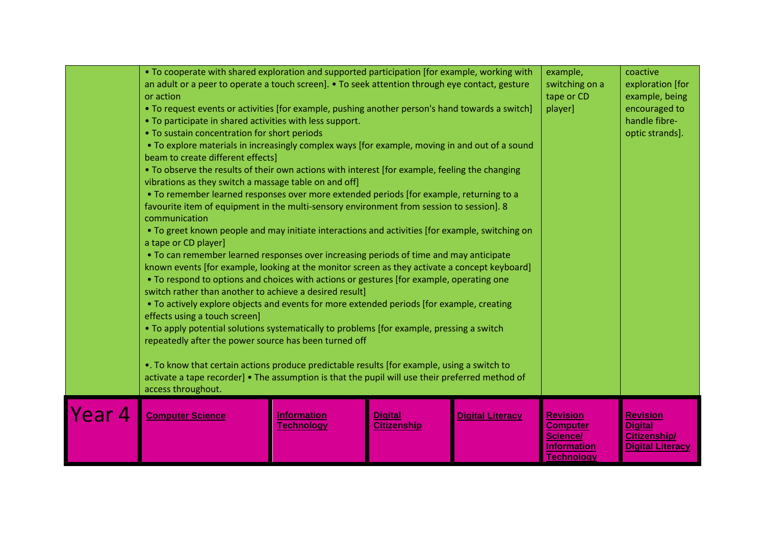|        | • To cooperate with shared exploration and supported participation [for example, working with<br>an adult or a peer to operate a touch screen]. • To seek attention through eye contact, gesture<br>or action<br>• To request events or activities [for example, pushing another person's hand towards a switch]<br>• To participate in shared activities with less support.<br>• To sustain concentration for short periods<br>• To explore materials in increasingly complex ways [for example, moving in and out of a sound<br>beam to create different effects]<br>• To observe the results of their own actions with interest [for example, feeling the changing<br>vibrations as they switch a massage table on and off]<br>• To remember learned responses over more extended periods [for example, returning to a<br>favourite item of equipment in the multi-sensory environment from session to session]. 8<br>communication<br>• To greet known people and may initiate interactions and activities [for example, switching on<br>a tape or CD player]<br>• To can remember learned responses over increasing periods of time and may anticipate<br>known events [for example, looking at the monitor screen as they activate a concept keyboard]<br>• To respond to options and choices with actions or gestures [for example, operating one<br>switch rather than another to achieve a desired result]<br>• To actively explore objects and events for more extended periods [for example, creating<br>effects using a touch screen]<br>. To apply potential solutions systematically to problems [for example, pressing a switch<br>repeatedly after the power source has been turned off<br>•. To know that certain actions produce predictable results [for example, using a switch to<br>activate a tape recorder] • The assumption is that the pupil will use their preferred method of<br>access throughout. |                                         |                                      |                         | example,<br>switching on a<br>tape or CD<br>player]                                              | coactive<br>exploration [for<br>example, being<br>encouraged to<br>handle fibre-<br>optic strands]. |
|--------|---------------------------------------------------------------------------------------------------------------------------------------------------------------------------------------------------------------------------------------------------------------------------------------------------------------------------------------------------------------------------------------------------------------------------------------------------------------------------------------------------------------------------------------------------------------------------------------------------------------------------------------------------------------------------------------------------------------------------------------------------------------------------------------------------------------------------------------------------------------------------------------------------------------------------------------------------------------------------------------------------------------------------------------------------------------------------------------------------------------------------------------------------------------------------------------------------------------------------------------------------------------------------------------------------------------------------------------------------------------------------------------------------------------------------------------------------------------------------------------------------------------------------------------------------------------------------------------------------------------------------------------------------------------------------------------------------------------------------------------------------------------------------------------------------------------------------------------------------------------------------------------------------------------------------------|-----------------------------------------|--------------------------------------|-------------------------|--------------------------------------------------------------------------------------------------|-----------------------------------------------------------------------------------------------------|
| Year 4 | <b>Computer Science</b>                                                                                                                                                                                                                                                                                                                                                                                                                                                                                                                                                                                                                                                                                                                                                                                                                                                                                                                                                                                                                                                                                                                                                                                                                                                                                                                                                                                                                                                                                                                                                                                                                                                                                                                                                                                                                                                                                                         | <b>Information</b><br><b>Technology</b> | <b>Digital</b><br><b>Citizenship</b> | <b>Digital Literacy</b> | <b>Revision</b><br><b>Computer</b><br><b>Science/</b><br><b>Information</b><br><b>Technology</b> | <b>Revision</b><br><b>Digital</b><br>Citizenship/<br><b>Digital Literacy</b>                        |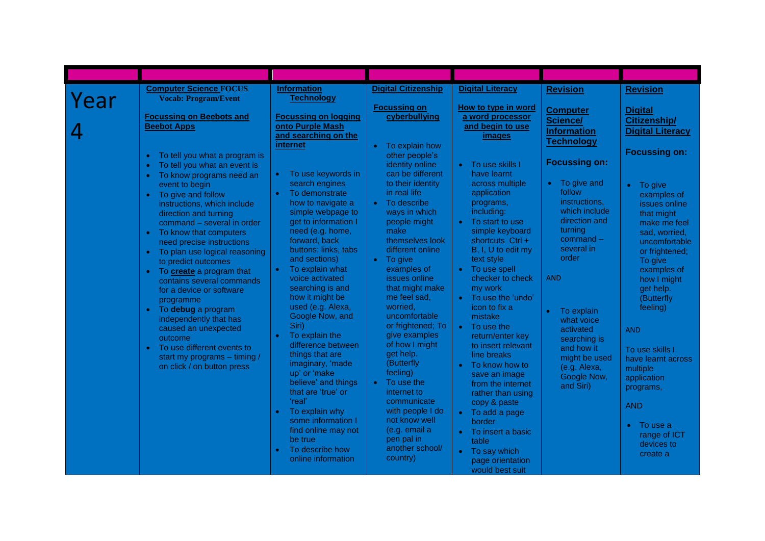| Year | <b>Computer Science FOCUS</b><br><b>Vocab: Program/Event</b><br><b>Focussing on Beebots and</b><br><b>Beebot Apps</b><br>To tell you what a program is<br>$\bullet$<br>To tell you what an event is<br>To know programs need an<br>event to begin<br>• To give and follow<br>instructions, which include<br>direction and turning<br>command - several in order<br>• To know that computers<br>need precise instructions<br>• To plan use logical reasoning<br>to predict outcomes<br>• To <b>create</b> a program that<br>contains several commands<br>for a device or software<br>programme<br>• To debug a program<br>independently that has<br>caused an unexpected<br>outcome<br>• To use different events to<br>start my programs - timing /<br>on click / on button press | <b>Information</b><br><b>Technology</b><br><b>Focussing on logging</b><br>onto Purple Mash<br>and searching on the<br>internet<br>To use keywords in<br>search engines<br>To demonstrate<br>$\bullet$<br>how to navigate a<br>simple webpage to<br>get to information I<br>need (e.g. home,<br>forward, back<br>buttons; links, tabs<br>and sections)<br>To explain what<br>$\bullet$<br>voice activated<br>searching is and<br>how it might be<br>used (e.g. Alexa,<br>Google Now, and<br>Siri)<br>To explain the<br>$\bullet$<br>difference between<br>things that are<br>imaginary, 'made<br>up' or 'make<br>believe' and things<br>that are 'true' or<br>'real'<br>To explain why<br>some information I<br>find online may not<br>be true<br>To describe how<br>online information | <b>Digital Citizenship</b><br><b>Focussing on</b><br>cyberbullying<br>To explain how<br>$\bullet$<br>other people's<br>identity online<br>can be different<br>to their identity<br>in real life<br>To describe<br>$\bullet$<br>ways in which<br>people might<br>make<br>themselves look<br>different online<br>$\bullet$ To give<br>examples of<br>issues online<br>that might make<br>me feel sad,<br>worried,<br>uncomfortable<br>or frightened; To<br>give examples<br>of how I might<br>get help.<br>(Butterfly<br>feeling)<br>To use the<br>internet to<br>communicate<br>with people I do<br>not know well<br>(e.g. email a<br>pen pal in<br>another school/<br>country) | <b>Digital Literacy</b><br>How to type in word<br>a word processor<br>and begin to use<br><i>images</i><br>To use skills I<br>have learnt<br>across multiple<br>application<br>programs,<br>including:<br>To start to use<br>$\bullet$<br>simple keyboard<br>shortcuts Ctrl +<br>B, I, U to edit my<br>text style<br>• To use spell<br>checker to check<br>my work<br>• To use the 'undo'<br>icon to fix a<br>mistake<br>To use the<br>$\bullet$<br>return/enter key<br>to insert relevant<br>line breaks<br>To know how to<br>$\bullet$<br>save an image<br>from the internet<br>rather than using<br>copy & paste<br>• To add a page<br>border<br>• To insert a basic<br>table<br>• To say which<br>page orientation<br>would best suit | <b>Revision</b><br><b>Computer</b><br>Science/<br><b>Information</b><br><b>Technology</b><br><b>Focussing on:</b><br>To give and<br>$\bullet$<br>follow<br>instructions,<br>which include<br>direction and<br>turning<br>$command -$<br>several in<br>order<br><b>AND</b><br>To explain<br>$\bullet$<br>what voice<br>activated<br>searching is<br>and how it<br>might be used<br>(e.g. Alexa,<br>Google Now,<br>and Siri) | <b>Revision</b><br><b>Digital</b><br><b>Citizenship/</b><br><b>Digital Literacy</b><br><b>Focussing on:</b><br>To give<br>$\bullet$<br>examples of<br>issues online<br>that might<br>make me feel<br>sad, worried,<br>uncomfortable<br>or frightened;<br>To give<br>examples of<br>how I might<br>get help.<br>(Butterfly<br>feeling)<br><b>AND</b><br>To use skills I<br>have learnt across<br>multiple<br>application<br>programs,<br><b>AND</b><br>To use a<br>$\bullet$<br>range of ICT<br>devices to<br>create a |
|------|----------------------------------------------------------------------------------------------------------------------------------------------------------------------------------------------------------------------------------------------------------------------------------------------------------------------------------------------------------------------------------------------------------------------------------------------------------------------------------------------------------------------------------------------------------------------------------------------------------------------------------------------------------------------------------------------------------------------------------------------------------------------------------|----------------------------------------------------------------------------------------------------------------------------------------------------------------------------------------------------------------------------------------------------------------------------------------------------------------------------------------------------------------------------------------------------------------------------------------------------------------------------------------------------------------------------------------------------------------------------------------------------------------------------------------------------------------------------------------------------------------------------------------------------------------------------------------|--------------------------------------------------------------------------------------------------------------------------------------------------------------------------------------------------------------------------------------------------------------------------------------------------------------------------------------------------------------------------------------------------------------------------------------------------------------------------------------------------------------------------------------------------------------------------------------------------------------------------------------------------------------------------------|-------------------------------------------------------------------------------------------------------------------------------------------------------------------------------------------------------------------------------------------------------------------------------------------------------------------------------------------------------------------------------------------------------------------------------------------------------------------------------------------------------------------------------------------------------------------------------------------------------------------------------------------------------------------------------------------------------------------------------------------|----------------------------------------------------------------------------------------------------------------------------------------------------------------------------------------------------------------------------------------------------------------------------------------------------------------------------------------------------------------------------------------------------------------------------|-----------------------------------------------------------------------------------------------------------------------------------------------------------------------------------------------------------------------------------------------------------------------------------------------------------------------------------------------------------------------------------------------------------------------------------------------------------------------------------------------------------------------|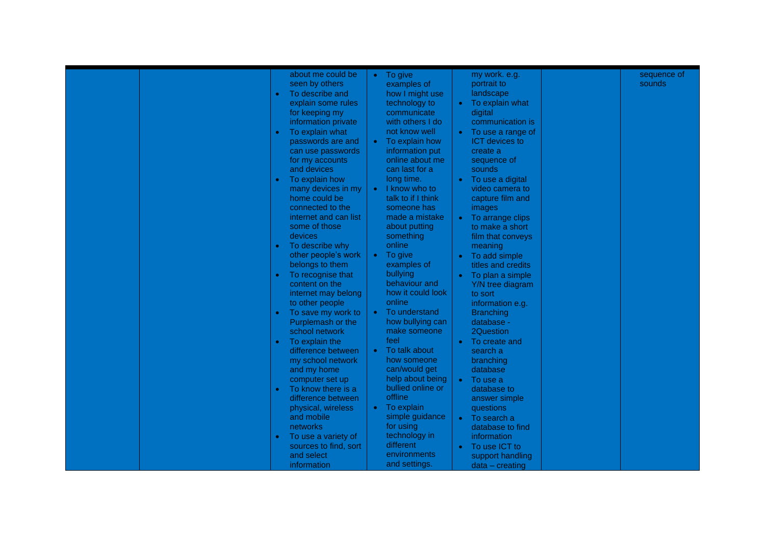| about me could be<br>seen by others<br>To describe and<br>explain some rules<br>for keeping my<br>information private<br>To explain what<br>passwords are and<br>can use passwords<br>for my accounts<br>and devices<br>To explain how<br>many devices in my<br>home could be<br>connected to the<br>internet and can list<br>some of those<br>devices<br>To describe why<br>other people's work<br>belongs to them<br>To recognise that<br>content on the<br>internet may belong<br>to other people<br>To save my work to<br>Purplemash or the<br>school network<br>To explain the<br>difference between<br>my school network<br>and my home<br>computer set up<br>To know there is a<br>difference between<br>physical, wireless | my work. e.g.<br>To give<br>portrait to<br>examples of<br>landscape<br>how I might use<br>To explain what<br>technology to<br>digital<br>communicate<br>with others I do<br>communication is<br>not know well<br>To use a range of<br>To explain how<br><b>ICT</b> devices to<br>$\bullet$<br>information put<br>create a<br>online about me<br>sequence of<br>can last for a<br>sounds<br>long time.<br>To use a digital<br>$\bullet$<br>I know who to<br>video camera to<br>talk to if I think<br>capture film and<br>someone has<br>images<br>made a mistake<br>To arrange clips<br>$\bullet$<br>about putting<br>to make a short<br>something<br>film that conveys<br>online<br>meaning<br>To give<br>To add simple<br>examples of<br>titles and credits<br>bullying<br>To plan a simple<br>$\bullet$<br>behaviour and<br>Y/N tree diagram<br>how it could look<br>to sort<br>online<br>information e.g.<br>To understand<br><b>Branching</b><br>how bullying can<br>database -<br>make someone<br>2Question<br>feel<br>To create and<br>$\bullet$<br>To talk about<br>search a<br>how someone<br>branching<br>can/would get<br>database<br>help about being<br>To use a<br>$\bullet$<br>bullied online or<br>database to<br>offline<br>answer simple<br>To explain<br>questions | sequence of<br>sounds |
|------------------------------------------------------------------------------------------------------------------------------------------------------------------------------------------------------------------------------------------------------------------------------------------------------------------------------------------------------------------------------------------------------------------------------------------------------------------------------------------------------------------------------------------------------------------------------------------------------------------------------------------------------------------------------------------------------------------------------------|--------------------------------------------------------------------------------------------------------------------------------------------------------------------------------------------------------------------------------------------------------------------------------------------------------------------------------------------------------------------------------------------------------------------------------------------------------------------------------------------------------------------------------------------------------------------------------------------------------------------------------------------------------------------------------------------------------------------------------------------------------------------------------------------------------------------------------------------------------------------------------------------------------------------------------------------------------------------------------------------------------------------------------------------------------------------------------------------------------------------------------------------------------------------------------------------------------------------------------------------------------------------------------------|-----------------------|
| and mobile<br><b>networks</b><br>To use a variety of<br>sources to find, sort<br>and select<br>information                                                                                                                                                                                                                                                                                                                                                                                                                                                                                                                                                                                                                         | simple guidance<br>To search a<br>$\bullet$<br>for using<br>database to find<br>technology in<br>information<br>different<br>To use ICT to<br>environments<br>support handling<br>and settings.<br>$data - creating$                                                                                                                                                                                                                                                                                                                                                                                                                                                                                                                                                                                                                                                                                                                                                                                                                                                                                                                                                                                                                                                                 |                       |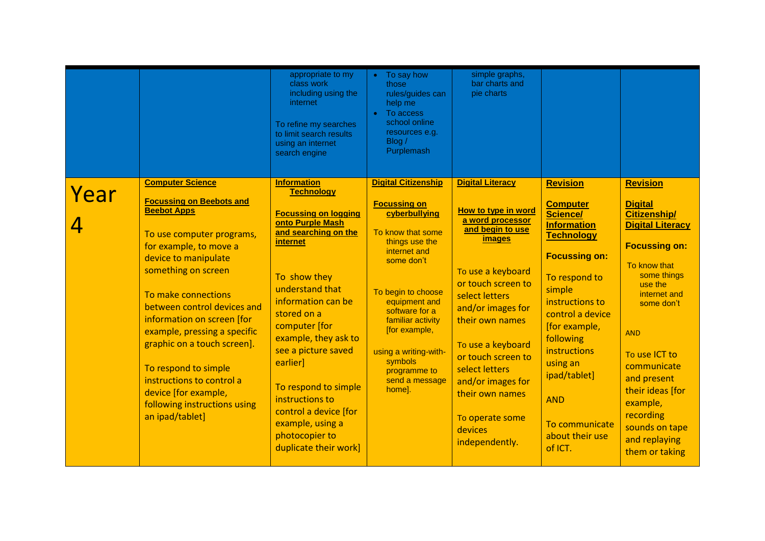|      |                                                                                                                                                                                                                                                                                                                                                                                                                                                                           | appropriate to my<br>class work<br>including using the<br>internet<br>To refine my searches<br>to limit search results<br>using an internet<br>search engine                                                                                                                                                                                                                                                          | To say how<br>$\bullet$<br>those<br>rules/guides can<br>help me<br>To access<br>$\bullet$<br>school online<br>resources e.g.<br>Blog /<br>Purplemash                                                                                                                                                                   | simple graphs,<br>bar charts and<br>pie charts                                                                                                                                                                                                                                                                                                                    |                                                                                                                                                                                                                                                                                                                                    |                                                                                                                                                                                                                                                                                                                                                    |
|------|---------------------------------------------------------------------------------------------------------------------------------------------------------------------------------------------------------------------------------------------------------------------------------------------------------------------------------------------------------------------------------------------------------------------------------------------------------------------------|-----------------------------------------------------------------------------------------------------------------------------------------------------------------------------------------------------------------------------------------------------------------------------------------------------------------------------------------------------------------------------------------------------------------------|------------------------------------------------------------------------------------------------------------------------------------------------------------------------------------------------------------------------------------------------------------------------------------------------------------------------|-------------------------------------------------------------------------------------------------------------------------------------------------------------------------------------------------------------------------------------------------------------------------------------------------------------------------------------------------------------------|------------------------------------------------------------------------------------------------------------------------------------------------------------------------------------------------------------------------------------------------------------------------------------------------------------------------------------|----------------------------------------------------------------------------------------------------------------------------------------------------------------------------------------------------------------------------------------------------------------------------------------------------------------------------------------------------|
| Year | <b>Computer Science</b><br><b>Focussing on Beebots and</b><br><b>Beebot Apps</b><br>To use computer programs,<br>for example, to move a<br>device to manipulate<br>something on screen<br>To make connections<br>between control devices and<br>information on screen [for<br>example, pressing a specific<br>graphic on a touch screen].<br>To respond to simple<br>instructions to control a<br>device [for example,<br>following instructions using<br>an ipad/tablet] | <b>Information</b><br><b>Technology</b><br><b>Focussing on logging</b><br>onto Purple Mash<br>and searching on the<br>internet<br>To show they<br>understand that<br>information can be<br>stored on a<br>computer [for<br>example, they ask to<br>see a picture saved<br>earlier]<br>To respond to simple<br>instructions to<br>control a device [for<br>example, using a<br>photocopier to<br>duplicate their work] | <b>Digital Citizenship</b><br><b>Focussing on</b><br>cyberbullying<br>To know that some<br>things use the<br>internet and<br>some don't<br>To begin to choose<br>equipment and<br>software for a<br>familiar activity<br>[for example,<br>using a writing-with-<br>symbols<br>programme to<br>send a message<br>home]. | <b>Digital Literacy</b><br>How to type in word<br>a word processor<br>and begin to use<br><i>images</i><br>To use a keyboard<br>or touch screen to<br>select letters<br>and/or images for<br>their own names<br>To use a keyboard<br>or touch screen to<br>select letters<br>and/or images for<br>their own names<br>To operate some<br>devices<br>independently. | <b>Revision</b><br><b>Computer</b><br>Science/<br><b>Information</b><br><b>Technology</b><br><b>Focussing on:</b><br>To respond to<br>simple<br>instructions to<br>control a device<br>[for example,<br>following<br><b>instructions</b><br>using an<br>ipad/tablet]<br><b>AND</b><br>To communicate<br>about their use<br>of ICT. | <b>Revision</b><br><b>Digital</b><br><b>Citizenship/</b><br><b>Digital Literacy</b><br><b>Focussing on:</b><br>To know that<br>some things<br>use the<br>internet and<br>some don't<br><b>AND</b><br>To use ICT to<br>communicate<br>and present<br>their ideas [for<br>example,<br>recording<br>sounds on tape<br>and replaying<br>them or taking |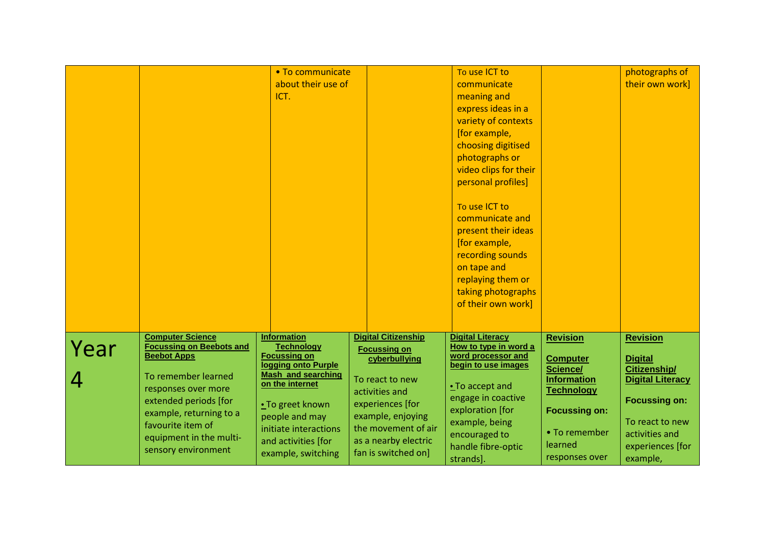|      |                                                                                                                                                                                                                                                           | • To communicate<br>about their use of<br>ICT.                                                                                                                                                                                                    |                                                                                                                                                                                                                        | To use ICT to<br>communicate<br>meaning and<br>express ideas in a<br>variety of contexts<br>[for example,<br>choosing digitised<br>photographs or<br>video clips for their<br>personal profiles]<br>To use ICT to<br>communicate and<br>present their ideas<br>[for example,<br>recording sounds<br>on tape and<br>replaying them or<br>taking photographs<br>of their own work] |                                                                                                                                                                 | photographs of<br>their own work]                                                                                                                                         |
|------|-----------------------------------------------------------------------------------------------------------------------------------------------------------------------------------------------------------------------------------------------------------|---------------------------------------------------------------------------------------------------------------------------------------------------------------------------------------------------------------------------------------------------|------------------------------------------------------------------------------------------------------------------------------------------------------------------------------------------------------------------------|----------------------------------------------------------------------------------------------------------------------------------------------------------------------------------------------------------------------------------------------------------------------------------------------------------------------------------------------------------------------------------|-----------------------------------------------------------------------------------------------------------------------------------------------------------------|---------------------------------------------------------------------------------------------------------------------------------------------------------------------------|
| Year | <b>Computer Science</b><br><b>Focussing on Beebots and</b><br><b>Beebot Apps</b><br>To remember learned<br>responses over more<br>extended periods [for<br>example, returning to a<br>favourite item of<br>equipment in the multi-<br>sensory environment | <b>Information</b><br><b>Technology</b><br><b>Focussing on</b><br>logging onto Purple<br><b>Mash and searching</b><br>on the internet<br>• To greet known<br>people and may<br>initiate interactions<br>and activities [for<br>example, switching | <b>Digital Citizenship</b><br><b>Focussing on</b><br>cyberbullying<br>To react to new<br>activities and<br>experiences [for<br>example, enjoying<br>the movement of air<br>as a nearby electric<br>fan is switched on] | <b>Digital Literacy</b><br>How to type in word a<br>word processor and<br>begin to use images<br>• To accept and<br>engage in coactive<br>exploration [for<br>example, being<br>encouraged to<br>handle fibre-optic<br>strands].                                                                                                                                                 | <b>Revision</b><br><b>Computer</b><br>Science/<br><b>Information</b><br><b>Technology</b><br><b>Focussing on:</b><br>• To remember<br>learned<br>responses over | <b>Revision</b><br><b>Digital</b><br>Citizenship/<br><b>Digital Literacy</b><br><b>Focussing on:</b><br>To react to new<br>activities and<br>experiences [for<br>example, |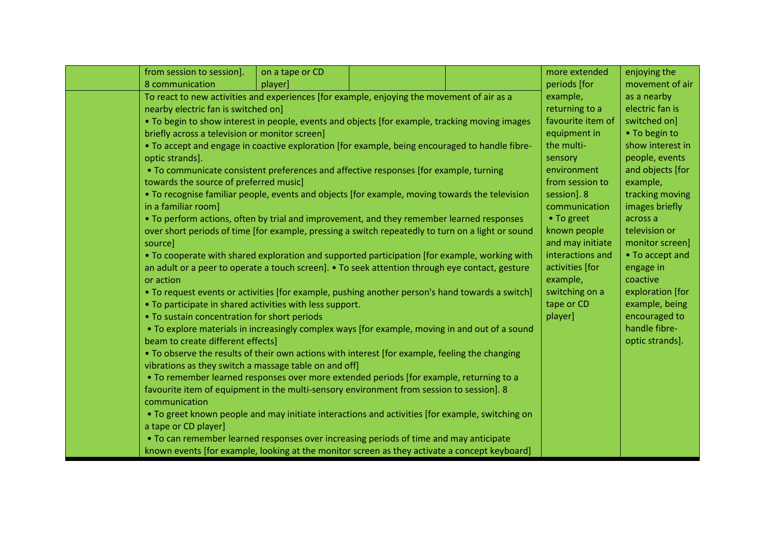| from session to session].                                                                         | on a tape or CD |  | more extended     | enjoying the     |
|---------------------------------------------------------------------------------------------------|-----------------|--|-------------------|------------------|
| 8 communication                                                                                   | player]         |  | periods [for      | movement of air  |
| To react to new activities and experiences [for example, enjoying the movement of air as a        |                 |  | example,          | as a nearby      |
| nearby electric fan is switched on]                                                               |                 |  | returning to a    | electric fan is  |
| • To begin to show interest in people, events and objects [for example, tracking moving images    |                 |  | favourite item of | switched on]     |
| briefly across a television or monitor screen]                                                    |                 |  | equipment in      | • To begin to    |
| . To accept and engage in coactive exploration [for example, being encouraged to handle fibre-    |                 |  | the multi-        | show interest in |
| optic strands].                                                                                   |                 |  | sensory           | people, events   |
| • To communicate consistent preferences and affective responses [for example, turning             |                 |  | environment       | and objects [for |
| towards the source of preferred music]                                                            |                 |  | from session to   | example,         |
| • To recognise familiar people, events and objects [for example, moving towards the television    |                 |  | session]. 8       | tracking moving  |
| in a familiar room]                                                                               |                 |  | communication     | images briefly   |
| • To perform actions, often by trial and improvement, and they remember learned responses         |                 |  | • To greet        | across a         |
| over short periods of time [for example, pressing a switch repeatedly to turn on a light or sound |                 |  | known people      | television or    |
| source]                                                                                           |                 |  | and may initiate  | monitor screen]  |
| • To cooperate with shared exploration and supported participation [for example, working with     |                 |  | interactions and  | • To accept and  |
| an adult or a peer to operate a touch screen]. • To seek attention through eye contact, gesture   |                 |  | activities [for   | engage in        |
| or action                                                                                         |                 |  | example,          | coactive         |
| • To request events or activities [for example, pushing another person's hand towards a switch]   |                 |  | switching on a    | exploration [for |
| • To participate in shared activities with less support.                                          |                 |  | tape or CD        | example, being   |
| • To sustain concentration for short periods                                                      |                 |  | player]           | encouraged to    |
| • To explore materials in increasingly complex ways [for example, moving in and out of a sound    |                 |  |                   | handle fibre-    |
| beam to create different effects]                                                                 |                 |  |                   | optic strands].  |
| • To observe the results of their own actions with interest [for example, feeling the changing    |                 |  |                   |                  |
| vibrations as they switch a massage table on and off]                                             |                 |  |                   |                  |
| . To remember learned responses over more extended periods [for example, returning to a           |                 |  |                   |                  |
| favourite item of equipment in the multi-sensory environment from session to session]. 8          |                 |  |                   |                  |
| communication                                                                                     |                 |  |                   |                  |
| . To greet known people and may initiate interactions and activities [for example, switching on   |                 |  |                   |                  |
| a tape or CD player]                                                                              |                 |  |                   |                  |
| • To can remember learned responses over increasing periods of time and may anticipate            |                 |  |                   |                  |
| known events [for example, looking at the monitor screen as they activate a concept keyboard]     |                 |  |                   |                  |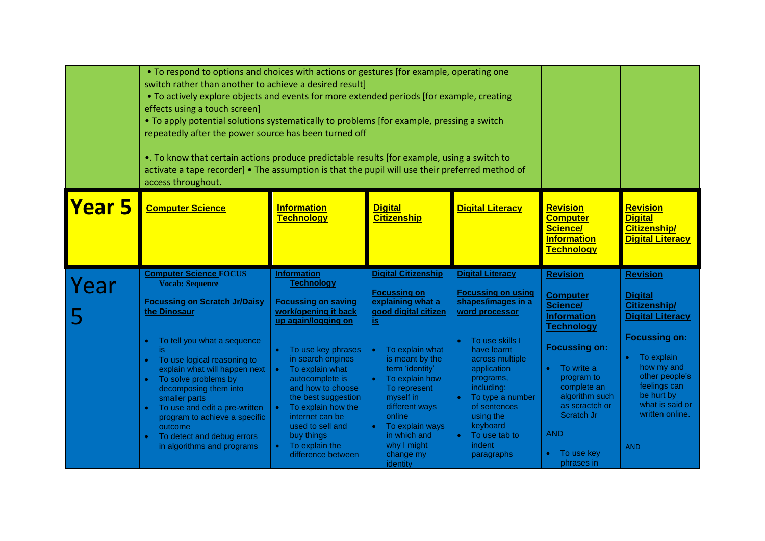|        | • To respond to options and choices with actions or gestures [for example, operating one<br>switch rather than another to achieve a desired result]<br>• To actively explore objects and events for more extended periods [for example, creating<br>effects using a touch screen]<br>• To apply potential solutions systematically to problems [for example, pressing a switch<br>repeatedly after the power source has been turned off<br>•. To know that certain actions produce predictable results [for example, using a switch to<br>activate a tape recorder] • The assumption is that the pupil will use their preferred method of<br>access throughout. |                                                                                                                                                                                                                                                                                                                                                                                                             |                                                                                                                                                                                                                                                                                                                                     |                                                                                                                                                                                                                                                                                                   |                                                                                                                                                                                                                                                          |                                                                                                                                                                                                                                                   |
|--------|-----------------------------------------------------------------------------------------------------------------------------------------------------------------------------------------------------------------------------------------------------------------------------------------------------------------------------------------------------------------------------------------------------------------------------------------------------------------------------------------------------------------------------------------------------------------------------------------------------------------------------------------------------------------|-------------------------------------------------------------------------------------------------------------------------------------------------------------------------------------------------------------------------------------------------------------------------------------------------------------------------------------------------------------------------------------------------------------|-------------------------------------------------------------------------------------------------------------------------------------------------------------------------------------------------------------------------------------------------------------------------------------------------------------------------------------|---------------------------------------------------------------------------------------------------------------------------------------------------------------------------------------------------------------------------------------------------------------------------------------------------|----------------------------------------------------------------------------------------------------------------------------------------------------------------------------------------------------------------------------------------------------------|---------------------------------------------------------------------------------------------------------------------------------------------------------------------------------------------------------------------------------------------------|
| Year 5 | <b>Computer Science</b>                                                                                                                                                                                                                                                                                                                                                                                                                                                                                                                                                                                                                                         | <b>Information</b><br><mark>Technology</mark>                                                                                                                                                                                                                                                                                                                                                               | <b>Digital</b><br><b>Citizenship</b>                                                                                                                                                                                                                                                                                                | <b>Digital Literacy</b>                                                                                                                                                                                                                                                                           | <b>Revision</b><br><b>Computer</b><br><b>Science/</b><br><b>Information</b><br>Technology                                                                                                                                                                | <b>Revision</b><br><b>Digital</b><br><b>Citizenship/</b><br><b>Digital Literacy</b>                                                                                                                                                               |
| Year   | <b>Computer Science FOCUS</b><br><b>Vocab: Sequence</b><br><b>Focussing on Scratch Jr/Daisy</b><br>the Dinosaur<br>To tell you what a sequence<br>is<br>To use logical reasoning to<br>explain what will happen next<br>To solve problems by<br>decomposing them into<br>smaller parts<br>To use and edit a pre-written<br>program to achieve a specific<br>outcome<br>To detect and debug errors<br>in algorithms and programs                                                                                                                                                                                                                                 | <b>Information</b><br><b>Technology</b><br><b>Focussing on saving</b><br>work/opening it back<br>up again/logging on<br>To use key phrases<br>in search engines<br>To explain what<br>$\bullet$<br>autocomplete is<br>and how to choose<br>the best suggestion<br>To explain how the<br>$\bullet$<br>internet can be<br>used to sell and<br>buy things<br>To explain the<br>$\bullet$<br>difference between | <b>Digital Citizenship</b><br><b>Focussing on</b><br>explaining what a<br>good digital citizen<br>$i$ s<br>To explain what<br>is meant by the<br>term 'identity'<br>To explain how<br>$\bullet$<br>To represent<br>myself in<br>different ways<br>online<br>To explain ways<br>in which and<br>why I might<br>change my<br>identity | <b>Digital Literacy</b><br><b>Focussing on using</b><br>shapes/images in a<br>word processor<br>To use skills I<br>have learnt<br>across multiple<br>application<br>programs,<br>including:<br>To type a number<br>of sentences<br>using the<br>keyboard<br>To use tab to<br>indent<br>paragraphs | <b>Revision</b><br><b>Computer</b><br>Science/<br><b>Information</b><br><b>Technology</b><br><b>Focussing on:</b><br>To write a<br>program to<br>complete an<br>algorithm such<br>as scractch or<br>Scratch Jr<br><b>AND</b><br>To use key<br>phrases in | <b>Revision</b><br><b>Digital</b><br>Citizenship/<br><b>Digital Literacy</b><br><b>Focussing on:</b><br>To explain<br>$\bullet$<br>how my and<br>other people's<br>feelings can<br>be hurt by<br>what is said or<br>written online.<br><b>AND</b> |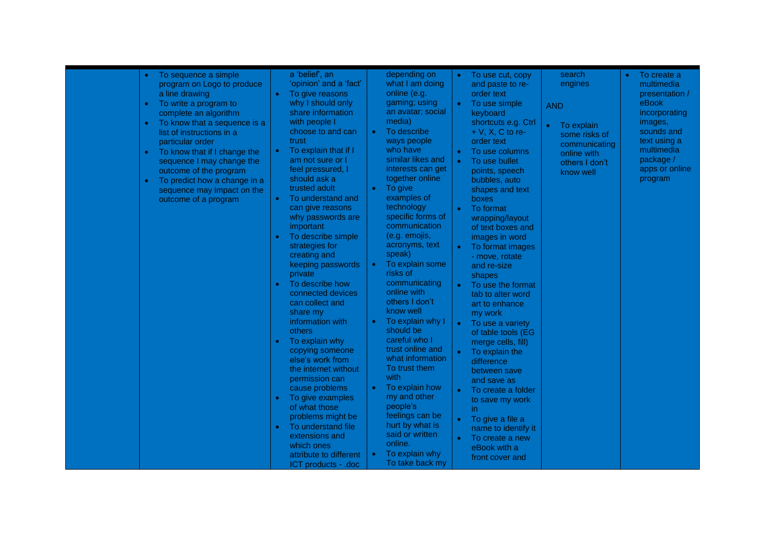| To sequence a simple<br>program on Logo to produce<br>a line drawing<br>To write a program to<br>complete an algorithm<br>To know that a sequence is a<br>list of instructions in a<br>particular order<br>To know that if I change the<br>$\bullet$<br>sequence I may change the<br>outcome of the program<br>To predict how a change in a<br>$\bullet$<br>sequence may impact on the<br>outcome of a program | a 'belief', an<br>'opinion' and a 'fact'<br>To give reasons<br>$\bullet$<br>why I should only<br>share information<br>with people I<br>choose to and can<br>trust<br>To explain that if I<br>am not sure or I<br>feel pressured, I<br>should ask a<br>trusted adult<br>To understand and<br>can give reasons<br>why passwords are<br>important<br>To describe simple<br>strategies for<br>creating and<br>keeping passwords<br>private<br>To describe how<br>connected devices<br>can collect and<br>share my<br>information with<br><b>others</b><br>To explain why<br>copying someone<br>else's work from<br>the internet without<br>permission can<br>cause problems<br>To give examples<br>of what those<br>problems might be<br>To understand file<br>extensions and<br>which ones | depending on<br>what I am doing<br>online (e.g.<br>gaming; using<br>an avatar; social<br>media)<br>To describe<br>$\bullet$<br>ways people<br>who have<br>similar likes and<br>interests can get<br>together online<br>To give<br>$\bullet$<br>examples of<br>technology<br>specific forms of<br>communication<br>(e.g. emojis,<br>acronyms, text<br>speak)<br>To explain some<br>$\bullet$<br>risks of<br>communicating<br>online with<br>others I don't<br>know well<br>To explain why I<br>$\bullet$<br>should be<br>careful who I<br>trust online and<br>what information<br>To trust them<br>with<br>To explain how<br>$\bullet$<br>my and other<br>people's<br>feelings can be<br>hurt by what is<br>said or written<br>online. | To use cut, copy<br>and paste to re-<br>order text<br>To use simple<br>$\bullet$<br>keyboard<br>shortcuts e.g. Ctrl<br>$+V$ , X, C to re-<br>order text<br>To use columns<br>$\bullet$<br>To use bullet<br>$\bullet$<br>points, speech<br>bubbles, auto<br>shapes and text<br>boxes<br>To format<br>wrapping/layout<br>of text boxes and<br>images in word<br>To format images<br>$\bullet$<br>- move, rotate<br>and re-size<br>shapes<br>To use the format<br>tab to alter word<br>art to enhance<br>my work<br>To use a variety<br>$\bullet$<br>of table tools (EG<br>merge cells, fill)<br>To explain the<br>$\bullet$<br>difference<br>between save<br>and save as<br>To create a folder<br>to save my work<br>in.<br>To give a file a<br>$\bullet$<br>name to identify it<br>To create a new<br>$\bullet$<br>eBook with a | search<br>engines<br><b>AND</b><br>To explain<br>$\bullet$<br>some risks of<br>communicating<br>online with<br>others I don't<br>know well | To create a<br>$\bullet$<br>multimedia<br>presentation /<br>eBook<br>incorporating<br>images,<br>sounds and<br>text using a<br>multimedia<br>package /<br>apps or online<br>program |
|----------------------------------------------------------------------------------------------------------------------------------------------------------------------------------------------------------------------------------------------------------------------------------------------------------------------------------------------------------------------------------------------------------------|-----------------------------------------------------------------------------------------------------------------------------------------------------------------------------------------------------------------------------------------------------------------------------------------------------------------------------------------------------------------------------------------------------------------------------------------------------------------------------------------------------------------------------------------------------------------------------------------------------------------------------------------------------------------------------------------------------------------------------------------------------------------------------------------|---------------------------------------------------------------------------------------------------------------------------------------------------------------------------------------------------------------------------------------------------------------------------------------------------------------------------------------------------------------------------------------------------------------------------------------------------------------------------------------------------------------------------------------------------------------------------------------------------------------------------------------------------------------------------------------------------------------------------------------|--------------------------------------------------------------------------------------------------------------------------------------------------------------------------------------------------------------------------------------------------------------------------------------------------------------------------------------------------------------------------------------------------------------------------------------------------------------------------------------------------------------------------------------------------------------------------------------------------------------------------------------------------------------------------------------------------------------------------------------------------------------------------------------------------------------------------------|--------------------------------------------------------------------------------------------------------------------------------------------|-------------------------------------------------------------------------------------------------------------------------------------------------------------------------------------|
|                                                                                                                                                                                                                                                                                                                                                                                                                | attribute to different<br>ICT products - .doc                                                                                                                                                                                                                                                                                                                                                                                                                                                                                                                                                                                                                                                                                                                                           | To explain why<br>To take back my                                                                                                                                                                                                                                                                                                                                                                                                                                                                                                                                                                                                                                                                                                     | front cover and                                                                                                                                                                                                                                                                                                                                                                                                                                                                                                                                                                                                                                                                                                                                                                                                                |                                                                                                                                            |                                                                                                                                                                                     |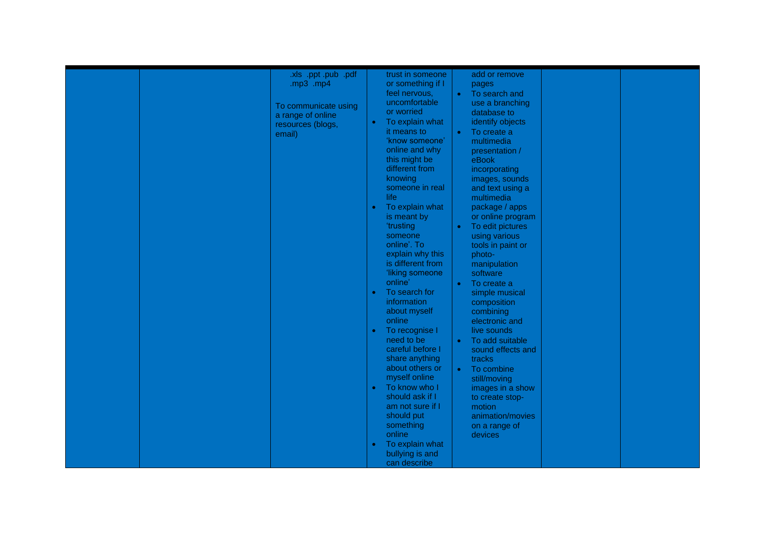| .xls .ppt .pub .pdf<br>.mp3 .mp4<br>To communicate using<br>a range of online<br>resources (blogs,<br>email) | trust in someone<br>or something if I<br>feel nervous,<br>uncomfortable<br>or worried<br>To explain what<br>$\bullet$<br>it means to<br>'know someone'<br>online and why<br>this might be<br>different from<br>knowing<br>someone in real<br>life<br>To explain what<br>$\bullet$<br>is meant by<br><i>trusting</i><br>someone<br>online'. To<br>explain why this<br>is different from<br>'liking someone<br>online'<br>To search for<br>$\bullet$<br>information<br>about myself<br>online<br>To recognise I<br>$\bullet$<br>need to be<br>careful before I<br>share anything<br>about others or<br>myself online<br>To know who I<br>$\bullet$<br>should ask if I<br>am not sure if I<br>should put<br>something<br>online | add or remove<br>pages<br>To search and<br>$\bullet$ .<br>use a branching<br>database to<br>identify objects<br>To create a<br>$\bullet$<br>multimedia<br>presentation /<br>eBook<br>incorporating<br>images, sounds<br>and text using a<br>multimedia<br>package / apps<br>or online program<br>To edit pictures<br>$\bullet$<br>using various<br>tools in paint or<br>photo-<br>manipulation<br>software<br>To create a<br>$\bullet$<br>simple musical<br>composition<br>combining<br>electronic and<br>live sounds<br>To add suitable<br>$\bullet$<br>sound effects and<br>tracks<br>$\bullet$<br>To combine<br>still/moving<br>images in a show<br>to create stop-<br>motion<br>animation/movies<br>on a range of<br>devices |  |
|--------------------------------------------------------------------------------------------------------------|------------------------------------------------------------------------------------------------------------------------------------------------------------------------------------------------------------------------------------------------------------------------------------------------------------------------------------------------------------------------------------------------------------------------------------------------------------------------------------------------------------------------------------------------------------------------------------------------------------------------------------------------------------------------------------------------------------------------------|----------------------------------------------------------------------------------------------------------------------------------------------------------------------------------------------------------------------------------------------------------------------------------------------------------------------------------------------------------------------------------------------------------------------------------------------------------------------------------------------------------------------------------------------------------------------------------------------------------------------------------------------------------------------------------------------------------------------------------|--|
|                                                                                                              | To explain what<br>bullying is and<br>can describe                                                                                                                                                                                                                                                                                                                                                                                                                                                                                                                                                                                                                                                                           |                                                                                                                                                                                                                                                                                                                                                                                                                                                                                                                                                                                                                                                                                                                                  |  |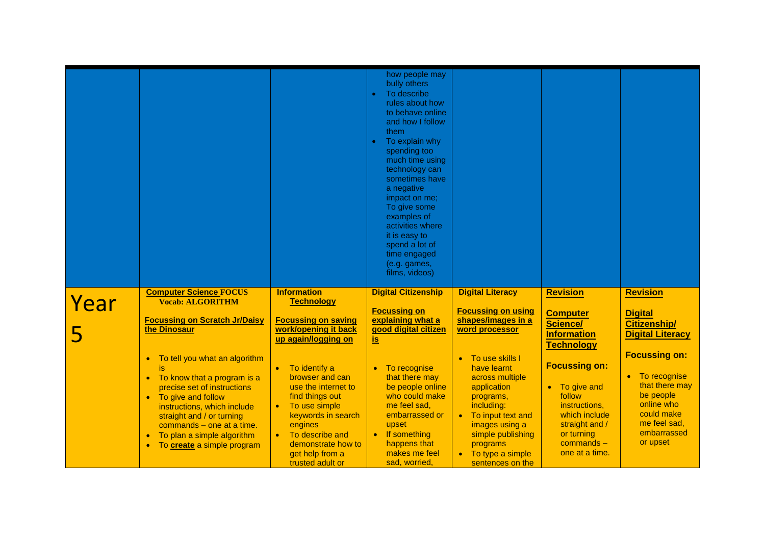|      |                                                                                                                                                                                                                                                                                                                                                                                                                                                                   |                                                                                                                                                                                                                                                                                                                                                                  | how people may<br>bully others<br>To describe<br>$\bullet$<br>rules about how<br>to behave online<br>and how I follow<br>them<br>To explain why<br>spending too<br>much time using<br>technology can<br>sometimes have<br>a negative<br>impact on me;<br>To give some<br>examples of<br>activities where<br>it is easy to<br>spend a lot of<br>time engaged<br>(e.g. games,<br>films, videos) |                                                                                                                                                                                                                                                                                                                                         |                                                                                                                                                                                                                                                             |                                                                                                                                                                                                                                                |
|------|-------------------------------------------------------------------------------------------------------------------------------------------------------------------------------------------------------------------------------------------------------------------------------------------------------------------------------------------------------------------------------------------------------------------------------------------------------------------|------------------------------------------------------------------------------------------------------------------------------------------------------------------------------------------------------------------------------------------------------------------------------------------------------------------------------------------------------------------|-----------------------------------------------------------------------------------------------------------------------------------------------------------------------------------------------------------------------------------------------------------------------------------------------------------------------------------------------------------------------------------------------|-----------------------------------------------------------------------------------------------------------------------------------------------------------------------------------------------------------------------------------------------------------------------------------------------------------------------------------------|-------------------------------------------------------------------------------------------------------------------------------------------------------------------------------------------------------------------------------------------------------------|------------------------------------------------------------------------------------------------------------------------------------------------------------------------------------------------------------------------------------------------|
| Year | <b>Computer Science FOCUS</b><br><b>Vocab: ALGORITHM</b><br><b>Focussing on Scratch Jr/Daisy</b><br>the Dinosaur<br>To tell you what an algorithm<br>$\bullet$<br>is<br>To know that a program is a<br>$\bullet$<br>precise set of instructions<br>To give and follow<br>$\bullet$<br>instructions, which include<br>straight and / or turning<br>commands - one at a time.<br>To plan a simple algorithm<br>$\bullet$<br>To create a simple program<br>$\bullet$ | <b>Information</b><br><b>Technology</b><br><b>Focussing on saving</b><br>work/opening it back<br>up again/logging on<br>To identify a<br>$\bullet$<br>browser and can<br>use the internet to<br>find things out<br>• To use simple<br>keywords in search<br>engines<br>To describe and<br>$\bullet$<br>demonstrate how to<br>get help from a<br>trusted adult or | <b>Digital Citizenship</b><br><b>Focussing on</b><br>explaining what a<br>good digital citizen<br><u>is</u><br>To recognise<br>$\bullet$<br>that there may<br>be people online<br>who could make<br>me feel sad.<br>embarrassed or<br>upset<br>If something<br>$\bullet$<br>happens that<br>makes me feel<br>sad, worried,                                                                    | <b>Digital Literacy</b><br><b>Focussing on using</b><br>shapes/images in a<br>word processor<br>To use skills I<br>$\bullet$<br>have learnt<br>across multiple<br>application<br>programs,<br>including:<br>To input text and<br>$\bullet$<br>images using a<br>simple publishing<br>programs<br>• To type a simple<br>sentences on the | <b>Revision</b><br><b>Computer</b><br>Science/<br><b>Information</b><br><b>Technology</b><br><b>Focussing on:</b><br>To give and<br>$\bullet$<br>follow<br>instructions,<br>which include<br>straight and /<br>or turning<br>$commands -$<br>one at a time. | <b>Revision</b><br><b>Digital</b><br><b>Citizenship/</b><br><b>Digital Literacy</b><br><b>Focussing on:</b><br>To recognise<br>$\bullet$<br>that there may<br>be people<br>online who<br>could make<br>me feel sad,<br>embarrassed<br>or upset |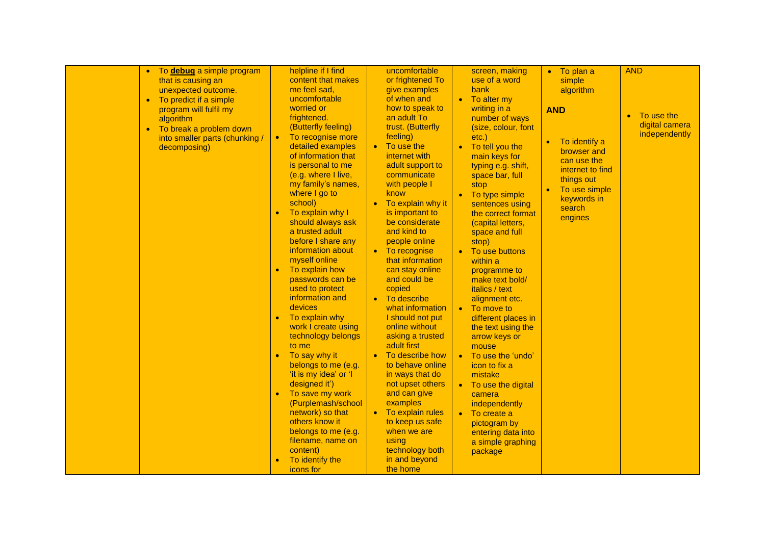|           |                                                 | helpline if I find           | uncomfortable            | screen, making                 |                               | <b>AND</b>              |
|-----------|-------------------------------------------------|------------------------------|--------------------------|--------------------------------|-------------------------------|-------------------------|
| $\bullet$ | To debug a simple program<br>that is causing an | content that makes           | or frightened To         | use of a word                  | $\bullet$ To plan a<br>simple |                         |
|           | unexpected outcome.                             | me feel sad,                 | give examples            | bank                           | algorithm                     |                         |
| $\bullet$ | To predict if a simple                          | uncomfortable                | of when and              | To alter my<br>$\bullet$       |                               |                         |
|           | program will fulfil my                          | worried or                   | how to speak to          | writing in a                   | <b>AND</b>                    |                         |
|           | algorithm                                       | frightened.                  | an adult To              | number of ways                 |                               | To use the<br>$\bullet$ |
|           | To break a problem down                         | (Butterfly feeling)          | trust. (Butterfly        | (size, colour, font            |                               | digital camera          |
| $\bullet$ | into smaller parts (chunking /                  | To recognise more            | feeling)                 | $etc.$ )                       |                               | independently           |
|           | decomposing)                                    | detailed examples            | • To use the             | • To tell you the              | $\bullet$ To identify a       |                         |
|           |                                                 | of information that          | internet with            | main keys for                  | browser and                   |                         |
|           |                                                 | is personal to me            | adult support to         | typing e.g. shift,             | can use the                   |                         |
|           |                                                 | (e.g. where I live,          | communicate              | space bar, full                | internet to find              |                         |
|           |                                                 | my family's names,           | with people I            | stop                           | things out                    |                         |
|           |                                                 | where I go to                | know                     | To type simple                 | To use simple<br>$\bullet$    |                         |
|           |                                                 | school)                      | • To explain why it      | sentences using                | keywords in                   |                         |
|           |                                                 | To explain why I             | is important to          | the correct format             | search                        |                         |
|           |                                                 | should always ask            | be considerate           | (capital letters,              | engines                       |                         |
|           |                                                 | a trusted adult              | and kind to              | space and full                 |                               |                         |
|           |                                                 | before I share any           | people online            | stop)                          |                               |                         |
|           |                                                 | information about            | • To recognise           | To use buttons<br>$\bullet$    |                               |                         |
|           |                                                 | myself online                | that information         | within a                       |                               |                         |
|           |                                                 | To explain how<br>$\bullet$  | can stay online          | programme to                   |                               |                         |
|           |                                                 | passwords can be             | and could be             | make text bold/                |                               |                         |
|           |                                                 | used to protect              | copied                   | italics / text                 |                               |                         |
|           |                                                 | information and              | To describe<br>$\bullet$ | alignment etc.                 |                               |                         |
|           |                                                 | devices                      | what information         | • To move to                   |                               |                         |
|           |                                                 | To explain why<br>$\bullet$  | I should not put         | different places in            |                               |                         |
|           |                                                 | work I create using          | online without           | the text using the             |                               |                         |
|           |                                                 | technology belongs           | asking a trusted         | arrow keys or                  |                               |                         |
|           |                                                 | to me                        | adult first              | mouse                          |                               |                         |
|           |                                                 | To say why it<br>$\bullet$   | • To describe how        | To use the 'undo'<br>$\bullet$ |                               |                         |
|           |                                                 | belongs to me (e.g.          | to behave online         | icon to fix a                  |                               |                         |
|           |                                                 | 'it is my idea' or 'I        | in ways that do          | mistake                        |                               |                         |
|           |                                                 | designed it')                | not upset others         | • To use the digital           |                               |                         |
|           |                                                 | To save my work<br>$\bullet$ | and can give             | camera                         |                               |                         |
|           |                                                 | (Purplemash/school           | examples                 | independently                  |                               |                         |
|           |                                                 | network) so that             | • To explain rules       | To create a<br>$\bullet$       |                               |                         |
|           |                                                 | others know it               | to keep us safe          | pictogram by                   |                               |                         |
|           |                                                 | belongs to me (e.g.          | when we are              | entering data into             |                               |                         |
|           |                                                 | filename, name on            | using                    | a simple graphing              |                               |                         |
|           |                                                 | content)                     | technology both          | package                        |                               |                         |
|           |                                                 | To identify the              | in and beyond            |                                |                               |                         |
|           |                                                 | icons for                    | the home                 |                                |                               |                         |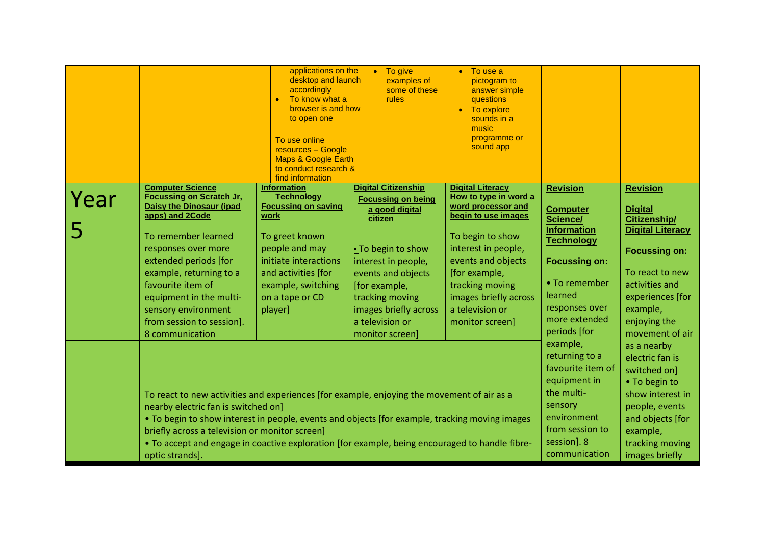|      |                                                                                                                                                                                                                                                                                                                                                                                                            | applications on the<br>desktop and launch<br>accordingly<br>To know what a<br>$\bullet$<br>browser is and how<br>to open one<br>To use online<br>resources - Google<br><b>Maps &amp; Google Earth</b><br>to conduct research &<br>find information | • To give<br>examples of<br>some of these<br><b>rules</b>                                                                                                                                                                                                  | To use a<br>pictogram to<br>answer simple<br>questions<br>• To explore<br>sounds in a<br>music<br>programme or<br>sound app                                                                                                                                       |                                                                                                                                                                                                  |                                                                                                                                                                                                                     |
|------|------------------------------------------------------------------------------------------------------------------------------------------------------------------------------------------------------------------------------------------------------------------------------------------------------------------------------------------------------------------------------------------------------------|----------------------------------------------------------------------------------------------------------------------------------------------------------------------------------------------------------------------------------------------------|------------------------------------------------------------------------------------------------------------------------------------------------------------------------------------------------------------------------------------------------------------|-------------------------------------------------------------------------------------------------------------------------------------------------------------------------------------------------------------------------------------------------------------------|--------------------------------------------------------------------------------------------------------------------------------------------------------------------------------------------------|---------------------------------------------------------------------------------------------------------------------------------------------------------------------------------------------------------------------|
| Year | <b>Computer Science</b><br><b>Focussing on Scratch Jr,</b><br><b>Daisy the Dinosaur (ipad</b><br>apps) and 2Code<br>To remember learned<br>responses over more<br>extended periods [for<br>example, returning to a<br>favourite item of<br>equipment in the multi-<br>sensory environment<br>from session to session].<br>8 communication                                                                  | <b>Information</b><br><b>Technology</b><br><b>Focussing on saving</b><br>work<br>To greet known<br>people and may<br>initiate interactions<br>and activities [for<br>example, switching<br>on a tape or CD<br>player]                              | <b>Digital Citizenship</b><br><b>Focussing on being</b><br>a good digital<br>citizen<br>. To begin to show<br>interest in people,<br>events and objects<br>[for example,<br>tracking moving<br>images briefly across<br>a television or<br>monitor screen] | <b>Digital Literacy</b><br>How to type in word a<br>word processor and<br>begin to use images<br>To begin to show<br>interest in people,<br>events and objects<br>[for example,<br>tracking moving<br>images briefly across<br>a television or<br>monitor screen] | <b>Revision</b><br><b>Computer</b><br>Science/<br><b>Information</b><br><b>Technology</b><br><b>Focussing on:</b><br>• To remember<br>learned<br>responses over<br>more extended<br>periods [for | <b>Revision</b><br><b>Digital</b><br><b>Citizenship/</b><br><b>Digital Literacy</b><br><b>Focussing on:</b><br>To react to new<br>activities and<br>experiences [for<br>example,<br>enjoying the<br>movement of air |
|      | To react to new activities and experiences [for example, enjoying the movement of air as a<br>nearby electric fan is switched on]<br>• To begin to show interest in people, events and objects [for example, tracking moving images<br>briefly across a television or monitor screen]<br>. To accept and engage in coactive exploration [for example, being encouraged to handle fibre-<br>optic strands]. |                                                                                                                                                                                                                                                    |                                                                                                                                                                                                                                                            |                                                                                                                                                                                                                                                                   | example,<br>returning to a<br>favourite item of<br>equipment in<br>the multi-<br>sensory<br>environment<br>from session to<br>session]. 8<br>communication                                       | as a nearby<br>electric fan is<br>switched on]<br>• To begin to<br>show interest in<br>people, events<br>and objects [for<br>example,<br>tracking moving<br>images briefly                                          |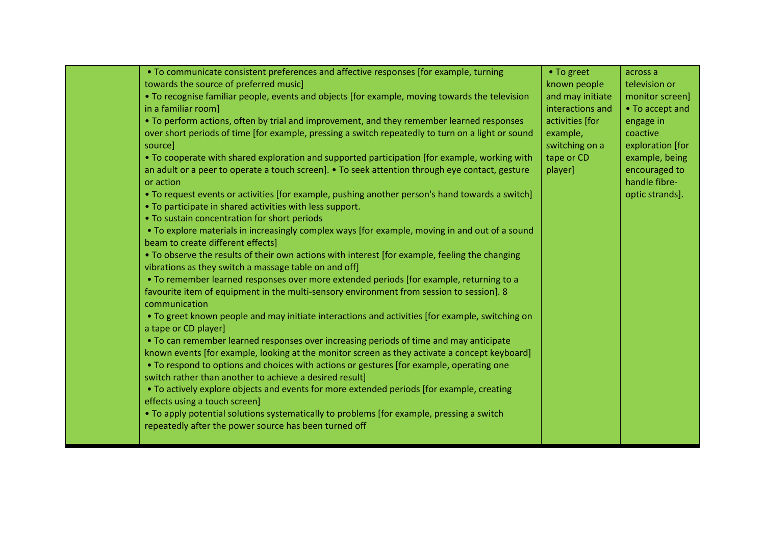| • To communicate consistent preferences and affective responses [for example, turning                                                                       | • To greet       | across a         |
|-------------------------------------------------------------------------------------------------------------------------------------------------------------|------------------|------------------|
| towards the source of preferred music]                                                                                                                      | known people     | television or    |
| • To recognise familiar people, events and objects [for example, moving towards the television                                                              | and may initiate | monitor screen]  |
| in a familiar room]                                                                                                                                         | interactions and | • To accept and  |
| • To perform actions, often by trial and improvement, and they remember learned responses                                                                   | activities [for  | engage in        |
| over short periods of time [for example, pressing a switch repeatedly to turn on a light or sound                                                           | example,         | coactive         |
| source]                                                                                                                                                     | switching on a   | exploration [for |
| • To cooperate with shared exploration and supported participation [for example, working with                                                               | tape or CD       | example, being   |
| an adult or a peer to operate a touch screen]. • To seek attention through eye contact, gesture                                                             | player]          | encouraged to    |
| or action                                                                                                                                                   |                  | handle fibre-    |
| • To request events or activities [for example, pushing another person's hand towards a switch]<br>• To participate in shared activities with less support. |                  | optic strands].  |
| • To sustain concentration for short periods                                                                                                                |                  |                  |
|                                                                                                                                                             |                  |                  |
| • To explore materials in increasingly complex ways [for example, moving in and out of a sound<br>beam to create different effects]                         |                  |                  |
|                                                                                                                                                             |                  |                  |
| • To observe the results of their own actions with interest [for example, feeling the changing<br>vibrations as they switch a massage table on and off]     |                  |                  |
| • To remember learned responses over more extended periods [for example, returning to a                                                                     |                  |                  |
| favourite item of equipment in the multi-sensory environment from session to session]. 8                                                                    |                  |                  |
| communication                                                                                                                                               |                  |                  |
| . To greet known people and may initiate interactions and activities [for example, switching on                                                             |                  |                  |
| a tape or CD player]                                                                                                                                        |                  |                  |
| • To can remember learned responses over increasing periods of time and may anticipate                                                                      |                  |                  |
| known events [for example, looking at the monitor screen as they activate a concept keyboard]                                                               |                  |                  |
| . To respond to options and choices with actions or gestures [for example, operating one                                                                    |                  |                  |
| switch rather than another to achieve a desired result]                                                                                                     |                  |                  |
| • To actively explore objects and events for more extended periods [for example, creating                                                                   |                  |                  |
| effects using a touch screen]                                                                                                                               |                  |                  |
| . To apply potential solutions systematically to problems [for example, pressing a switch                                                                   |                  |                  |
| repeatedly after the power source has been turned off                                                                                                       |                  |                  |
|                                                                                                                                                             |                  |                  |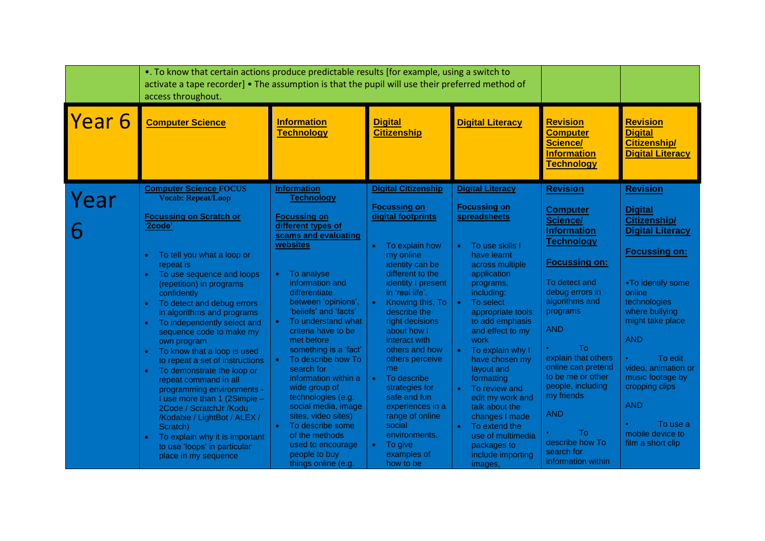|           | •. To know that certain actions produce predictable results [for example, using a switch to<br>activate a tape recorder] • The assumption is that the pupil will use their preferred method of<br>access throughout.                                                                                                                                                                                                                                                                                                                                                                                                                                                                                                                                                                      |                                                                                                                                                                                                                                                                                                                                                                                                                                                                                                                                                                                                                        |                                                                                                                                                                                                                                                                                                                                                                                                                                                                                                                           |                                                                                                                                                                                                                                                                                                                                                                                                                                                                                                                                                 |                                                                                                                                                                                                                                                                                                                                                                                                 |                                                                                                                                                                                                                                                                                                                                                    |
|-----------|-------------------------------------------------------------------------------------------------------------------------------------------------------------------------------------------------------------------------------------------------------------------------------------------------------------------------------------------------------------------------------------------------------------------------------------------------------------------------------------------------------------------------------------------------------------------------------------------------------------------------------------------------------------------------------------------------------------------------------------------------------------------------------------------|------------------------------------------------------------------------------------------------------------------------------------------------------------------------------------------------------------------------------------------------------------------------------------------------------------------------------------------------------------------------------------------------------------------------------------------------------------------------------------------------------------------------------------------------------------------------------------------------------------------------|---------------------------------------------------------------------------------------------------------------------------------------------------------------------------------------------------------------------------------------------------------------------------------------------------------------------------------------------------------------------------------------------------------------------------------------------------------------------------------------------------------------------------|-------------------------------------------------------------------------------------------------------------------------------------------------------------------------------------------------------------------------------------------------------------------------------------------------------------------------------------------------------------------------------------------------------------------------------------------------------------------------------------------------------------------------------------------------|-------------------------------------------------------------------------------------------------------------------------------------------------------------------------------------------------------------------------------------------------------------------------------------------------------------------------------------------------------------------------------------------------|----------------------------------------------------------------------------------------------------------------------------------------------------------------------------------------------------------------------------------------------------------------------------------------------------------------------------------------------------|
| Year 6    | <b>Computer Science</b>                                                                                                                                                                                                                                                                                                                                                                                                                                                                                                                                                                                                                                                                                                                                                                   | <b>Information</b><br><b>Technology</b>                                                                                                                                                                                                                                                                                                                                                                                                                                                                                                                                                                                | <b>Digital</b><br><b>Citizenship</b>                                                                                                                                                                                                                                                                                                                                                                                                                                                                                      | <b>Digital Literacy</b>                                                                                                                                                                                                                                                                                                                                                                                                                                                                                                                         | <b>Revision</b><br><b>Computer</b><br>Science/<br><b>Information</b><br><b>Technology</b>                                                                                                                                                                                                                                                                                                       | <b>Revision</b><br><b>Digital</b><br><b>Citizenship/</b><br><b>Digital Literacy</b>                                                                                                                                                                                                                                                                |
| Year<br>6 | <b>Computer Science FOCUS</b><br><b>Vocab: Repeat/Loop</b><br><b>Focussing on Scratch or</b><br>'2code'<br>To tell you what a loop or<br>repeat is<br>To use sequence and loops<br>$\bullet$<br>(repetition) in programs<br>confidently<br>To detect and debug errors<br>$\bullet$<br>in algorithms and programs<br>To independently select and<br>$\bullet$<br>sequence code to make my<br>own program<br>To know that a loop is used<br>$\bullet$<br>to repeat a set of instructions<br>To demonstrate the loop or<br>$\bullet$<br>repeat command in all<br>programming environments -<br>I use more than 1 (2Simple -<br>2Code / ScratchJr /Kodu<br>/Kodable / LightBot / ALEX /<br>Scratch)<br>To explain why it is important<br>to use 'loops' in particular<br>place in my sequence | <b>Information</b><br><b>Technology</b><br><b>Focussing on</b><br>different types of<br>scams and evaluating<br>websites<br>To analyse<br>$\bullet$<br>information and<br>differentiate<br>between 'opinions',<br>'beliefs' and 'facts'<br>To understand what<br>$\bullet$<br>criteria have to be<br>met before<br>something is a 'fact'<br>To describe how To<br>$\bullet$<br>search for<br>information within a<br>wide group of<br>technologies (e.g.<br>social media, image<br>sites, video sites)<br>To describe some<br>$\bullet$<br>of the methods<br>used to encourage<br>people to buy<br>things online (e.g. | <b>Digital Citizenship</b><br><b>Focussing on</b><br>digital footprints<br>To explain how<br>my online<br>identity can be<br>different to the<br>identity I present<br>in 'real life'.<br>Knowing this, To<br>$\bullet$<br>describe the<br>right decisions<br>about how I<br>interact with<br>others and how<br>others perceive<br>me<br>To describe<br>$\bullet$<br>strategies for<br>safe and fun<br>experiences in a<br>range of online<br>social<br>environments.<br>To give<br>$\bullet$<br>examples of<br>how to be | <b>Digital Literacy</b><br><b>Focussing on</b><br>spreadsheets<br>To use skills I<br>$\bullet$<br>have learnt<br>across multiple<br>application<br>programs,<br>including:<br>To select<br>$\bullet$<br>appropriate tools<br>to add emphasis<br>and effect to my<br>work<br>To explain why I<br>$\bullet$<br>have chosen my<br>layout and<br>formatting<br>To review and<br>$\bullet$<br>edit my work and<br>talk about the<br>changes I made<br>To extend the<br>$\bullet$<br>use of multimedia<br>packages to<br>include importing<br>images, | <b>Revision</b><br><b>Computer</b><br>Science/<br><b>Information</b><br><b>Technology</b><br><b>Focussing on:</b><br>To detect and<br>debug errors in<br>algorithms and<br>programs<br><b>AND</b><br><b>To</b><br>explain that others<br>online can pretend<br>to be me or other<br>people, including<br>my friends<br><b>AND</b><br>To:<br>describe how To<br>search for<br>information within | <b>Revision</b><br><b>Digital</b><br>Citizenship/<br><b>Digital Literacy</b><br><b>Focussing on:</b><br>•To identify some<br>online<br>technologies<br>where bullying<br>might take place<br><b>AND</b><br>To edit<br>video, animation or<br>music footage by<br>cropping clips<br><b>AND</b><br>To use a<br>mobile device to<br>film a short clip |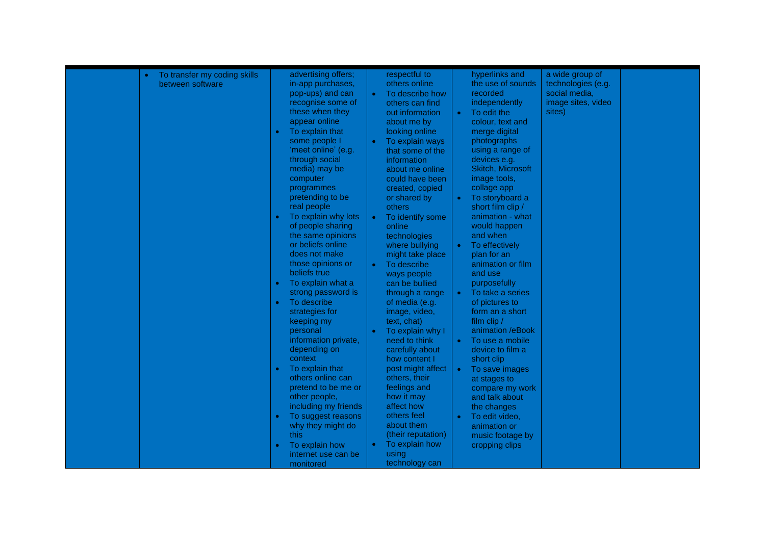| To transfer my coding skills<br>$\bullet$ | advertising offers;  | respectful to                 | hyperlinks and                | a wide group of    |  |
|-------------------------------------------|----------------------|-------------------------------|-------------------------------|--------------------|--|
| between software                          | in-app purchases,    | others online                 | the use of sounds             | technologies (e.g. |  |
|                                           | pop-ups) and can     | To describe how<br>$\bullet$  | recorded                      | social media,      |  |
|                                           | recognise some of    | others can find               | independently                 | image sites, video |  |
|                                           | these when they      | out information               | To edit the<br>$\bullet$      | sites)             |  |
|                                           | appear online        | about me by                   | colour, text and              |                    |  |
|                                           | To explain that      | looking online                | merge digital                 |                    |  |
|                                           | some people I        | To explain ways<br>$\bullet$  | photographs                   |                    |  |
|                                           | 'meet online' (e.g.  | that some of the              | using a range of              |                    |  |
|                                           | through social       | information                   | devices e.g.                  |                    |  |
|                                           | media) may be        |                               | Skitch, Microsoft             |                    |  |
|                                           |                      | about me online               |                               |                    |  |
|                                           | computer             | could have been               | image tools,                  |                    |  |
|                                           | programmes           | created, copied               | collage app                   |                    |  |
|                                           | pretending to be     | or shared by                  | To storyboard a<br>$\bullet$  |                    |  |
|                                           | real people          | others                        | short film clip /             |                    |  |
|                                           | To explain why lots  | To identify some<br>$\bullet$ | animation - what              |                    |  |
|                                           | of people sharing    | online                        | would happen                  |                    |  |
|                                           | the same opinions    | technologies                  | and when                      |                    |  |
|                                           | or beliefs online    | where bullying                | To effectively<br>$\bullet$   |                    |  |
|                                           | does not make        | might take place              | plan for an                   |                    |  |
|                                           | those opinions or    | To describe<br>$\bullet$      | animation or film             |                    |  |
|                                           | beliefs true         | ways people                   | and use                       |                    |  |
|                                           | To explain what a    | can be bullied                | purposefully                  |                    |  |
|                                           | strong password is   | through a range               | To take a series<br>$\bullet$ |                    |  |
|                                           | To describe          | of media (e.g.                | of pictures to                |                    |  |
|                                           | strategies for       | image, video,                 | form an a short               |                    |  |
|                                           | keeping my           | text, chat)                   | film clip /                   |                    |  |
|                                           | personal             | To explain why I              | animation /eBook              |                    |  |
|                                           | information private, | need to think                 | To use a mobile<br>$\bullet$  |                    |  |
|                                           | depending on         | carefully about               | device to film a              |                    |  |
|                                           | context              | how content I                 | short clip                    |                    |  |
|                                           | To explain that      | post might affect             | To save images<br>$\bullet$   |                    |  |
|                                           | others online can    | others, their                 | at stages to                  |                    |  |
|                                           | pretend to be me or  | feelings and                  |                               |                    |  |
|                                           | other people,        | how it may                    | compare my work               |                    |  |
|                                           | including my friends | affect how                    | and talk about                |                    |  |
|                                           |                      | others feel                   | the changes                   |                    |  |
|                                           | To suggest reasons   | about them                    | To edit video,<br>$\bullet$   |                    |  |
|                                           | why they might do    |                               | animation or                  |                    |  |
|                                           | this                 | (their reputation)            | music footage by              |                    |  |
|                                           | To explain how       | To explain how<br>$\bullet$   | cropping clips                |                    |  |
|                                           | internet use can be  | using                         |                               |                    |  |
|                                           | monitored            | technology can                |                               |                    |  |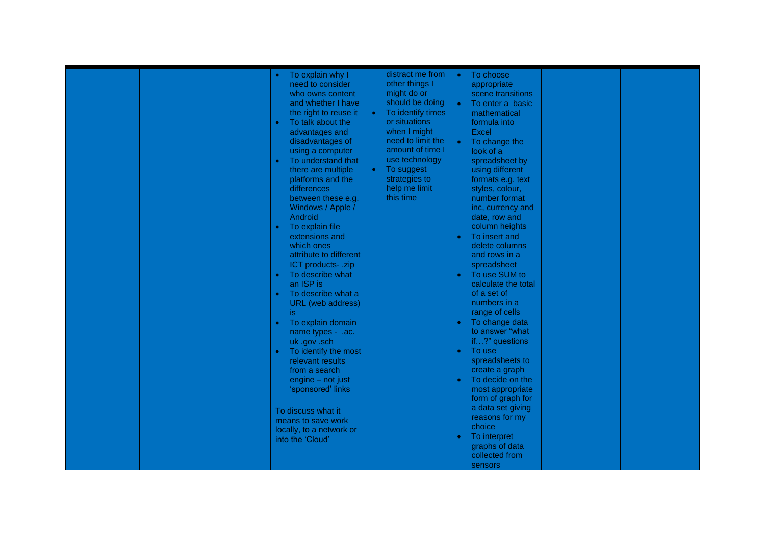| To explain why I<br>need to consider<br>who owns content<br>and whether I have<br>the right to reuse it<br>To talk about the<br>advantages and                                                                                                                                                                                       | distract me from<br>other things I<br>might do or<br>should be doing<br>To identify times<br>$\bullet$<br>or situations<br>when I might | To choose<br>$\bullet$<br>appropriate<br>scene transitions<br>To enter a basic<br>$\bullet$<br>mathematical<br>formula into<br><b>Excel</b>                                                                                                                                                                                                       |  |
|--------------------------------------------------------------------------------------------------------------------------------------------------------------------------------------------------------------------------------------------------------------------------------------------------------------------------------------|-----------------------------------------------------------------------------------------------------------------------------------------|---------------------------------------------------------------------------------------------------------------------------------------------------------------------------------------------------------------------------------------------------------------------------------------------------------------------------------------------------|--|
| disadvantages of<br>using a computer<br>To understand that<br>there are multiple<br>platforms and the<br>differences<br>between these e.g.<br>Windows / Apple /<br>Android<br>To explain file<br>extensions and<br>which ones<br>attribute to different<br>ICT products- .zip<br>To describe what<br>an ISP is<br>To describe what a | need to limit the<br>amount of time I<br>use technology<br>To suggest<br>$\bullet$<br>strategies to<br>help me limit<br>this time       | To change the<br>$\bullet$<br>look of a<br>spreadsheet by<br>using different<br>formats e.g. text<br>styles, colour,<br>number format<br>inc, currency and<br>date, row and<br>column heights<br>To insert and<br>$\bullet$<br>delete columns<br>and rows in a<br>spreadsheet<br>To use SUM to<br>$\bullet$<br>calculate the total<br>of a set of |  |
| URL (web address)<br>is.<br>To explain domain<br>name types - .ac.<br>uk .gov .sch<br>To identify the most<br>relevant results<br>from a search<br>engine - not just                                                                                                                                                                 |                                                                                                                                         | numbers in a<br>range of cells<br>To change data<br>$\bullet$<br>to answer "what<br>if?" questions<br>To use<br>$\bullet$<br>spreadsheets to<br>create a graph<br>To decide on the<br>$\bullet$                                                                                                                                                   |  |
| 'sponsored' links<br>To discuss what it<br>means to save work<br>locally, to a network or<br>into the 'Cloud'                                                                                                                                                                                                                        |                                                                                                                                         | most appropriate<br>form of graph for<br>a data set giving<br>reasons for my<br>choice<br>To interpret<br>$\bullet$<br>graphs of data<br>collected from<br>sensors                                                                                                                                                                                |  |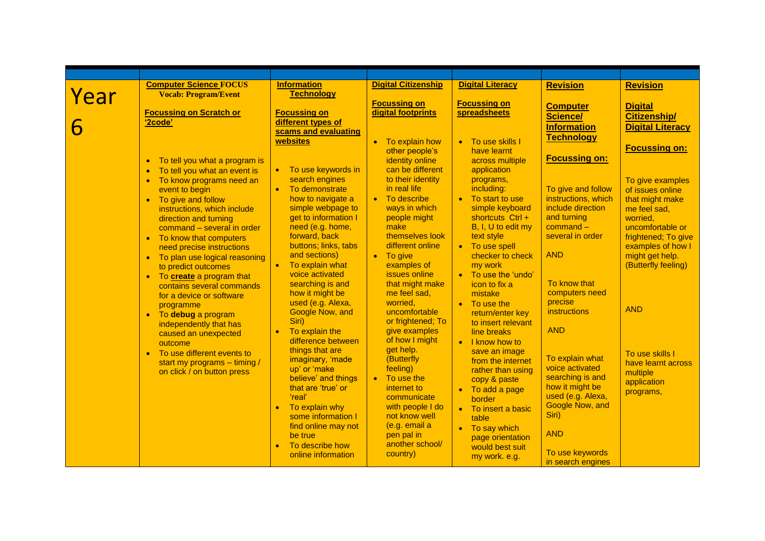|      | <b>Computer Science FOCUS</b>                         | <b>Information</b>                      | <b>Digital Citizenship</b>                | <b>Digital Literacy</b>                         | <b>Revision</b>                           | <b>Revision</b>                 |
|------|-------------------------------------------------------|-----------------------------------------|-------------------------------------------|-------------------------------------------------|-------------------------------------------|---------------------------------|
| Year | <b>Vocab: Program/Event</b>                           | <b>Technology</b>                       |                                           |                                                 |                                           |                                 |
|      | <b>Focussing on Scratch or</b>                        | <b>Focussing on</b>                     | <b>Focussing on</b><br>digital footprints | <b>Focussing on</b><br>spreadsheets             | <b>Computer</b>                           | <b>Digital</b>                  |
|      | '2code'                                               | different types of                      |                                           |                                                 | Science/                                  | <b>Citizenship/</b>             |
| 6    |                                                       | scams and evaluating                    |                                           |                                                 | <b>Information</b>                        | <b>Digital Literacy</b>         |
|      |                                                       | websites                                | To explain how                            | To use skills I<br>$\bullet$                    | <b>Technology</b>                         |                                 |
|      |                                                       |                                         | other people's                            | have learnt                                     |                                           | <b>Focussing on:</b>            |
|      | • To tell you what a program is                       |                                         | identity online                           | across multiple                                 | <b>Focussing on:</b>                      |                                 |
|      | To tell you what an event is<br>$\bullet$             | To use keywords in<br>$\bullet$ ,       | can be different                          | application                                     |                                           |                                 |
|      | • To know programs need an                            | search engines                          | to their identity                         | programs,                                       |                                           | To give examples                |
|      | event to begin                                        | To demonstrate<br>$\bullet$             | in real life<br>• To describe             | including:<br>• To start to use                 | To give and follow<br>instructions, which | of issues online                |
|      | • To give and follow<br>instructions, which include   | how to navigate a<br>simple webpage to  | ways in which                             | simple keyboard                                 | include direction                         | that might make<br>me feel sad, |
|      | direction and turning                                 | get to information I                    | people might                              | shortcuts Ctrl +                                | and turning                               | worried.                        |
|      | command - several in order                            | need (e.g. home,                        | make                                      | B, I, U to edit my                              | $command -$                               | uncomfortable or                |
|      | • To know that computers                              | forward, back                           | themselves look                           | text style                                      | several in order                          | frightened; To give             |
|      | need precise instructions                             | buttons; links, tabs                    | different online                          | • To use spell                                  |                                           | examples of how I               |
|      | • To plan use logical reasoning                       | and sections)                           | • To give                                 | checker to check                                | <b>AND</b>                                | might get help.                 |
|      | to predict outcomes                                   | To explain what<br>$\bullet$            | examples of                               | my work                                         |                                           | (Butterfly feeling)             |
|      | • To create a program that                            | voice activated<br>searching is and     | issues online<br>that might make          | To use the 'undo'<br>$\bullet$<br>icon to fix a | To know that                              |                                 |
|      | contains several commands<br>for a device or software | how it might be                         | me feel sad,                              | mistake                                         | computers need                            |                                 |
|      | programme                                             | used (e.g. Alexa,                       | worried,                                  | • To use the                                    | precise                                   |                                 |
|      | • To debug a program                                  | Google Now, and                         | uncomfortable                             | return/enter key                                | <i>instructions</i>                       | <b>AND</b>                      |
|      | independently that has                                | Siri)                                   | or frightened; To                         | to insert relevant                              |                                           |                                 |
|      | caused an unexpected                                  | To explain the<br>$\bullet$             | give examples                             | line breaks                                     | <b>AND</b>                                |                                 |
|      | outcome                                               | difference between                      | of how I might                            | • I know how to                                 |                                           |                                 |
|      | • To use different events to                          | things that are<br>imaginary, 'made     | get help.<br>(Butterfly                   | save an image                                   | To explain what                           | To use skills I                 |
|      | start my programs - timing /                          | up' or 'make                            | feeling)                                  | from the internet<br>rather than using          | voice activated                           | have learnt across              |
|      | on click / on button press                            | believe' and things                     | $\bullet$ To use the                      | copy & paste                                    | searching is and                          | multiple                        |
|      |                                                       | that are 'true' or                      | internet to                               | • To add a page                                 | how it might be                           | application<br>programs,        |
|      |                                                       | 'real'                                  | communicate                               | border                                          | used (e.g. Alexa,                         |                                 |
|      |                                                       | To explain why<br>$\bullet$             | with people I do                          | To insert a basic<br>$\bullet$                  | Google Now, and                           |                                 |
|      |                                                       | some information I                      | not know well                             | table                                           | Siri)                                     |                                 |
|      |                                                       | find online may not                     | (e.g. email a                             | • To say which                                  | <b>AND</b>                                |                                 |
|      |                                                       | be true<br>To describe how<br>$\bullet$ | pen pal in<br>another school/             | page orientation                                |                                           |                                 |
|      |                                                       | online information                      | country)                                  | would best suit                                 | To use keywords                           |                                 |
|      |                                                       |                                         |                                           | my work. e.g.                                   | in search engines                         |                                 |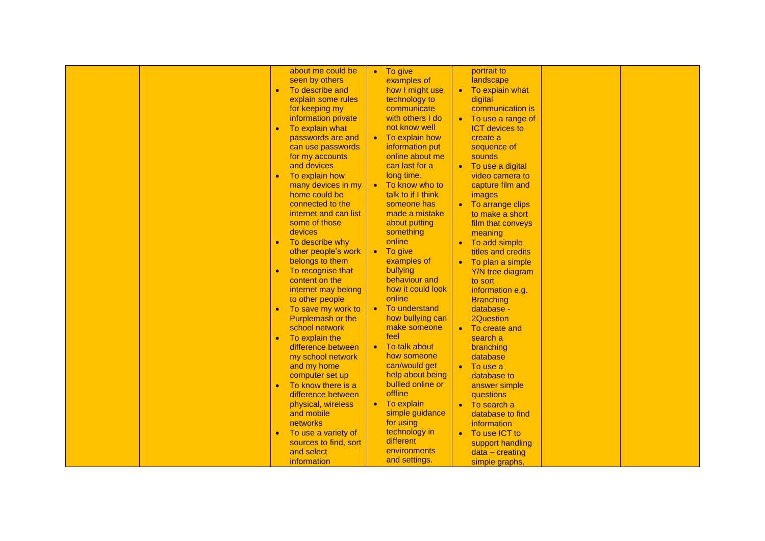| about me could be                | To give                    | portrait to                    |  |
|----------------------------------|----------------------------|--------------------------------|--|
| seen by others                   | examples of                | landscape                      |  |
| To describe and<br>$\bullet$     | how I might use            | To explain what<br>$\bullet$   |  |
| explain some rules               | technology to              | digital                        |  |
| for keeping my                   | communicate                | communication is               |  |
| information private              | with others I do           | To use a range of<br>$\bullet$ |  |
| To explain what<br>$\bullet$     | not know well              | <b>ICT</b> devices to          |  |
|                                  | To explain how             | create a                       |  |
| passwords are and                | $\bullet$                  |                                |  |
| can use passwords                | information put            | sequence of                    |  |
| for my accounts                  | online about me            | sounds                         |  |
| and devices                      | can last for a             | To use a digital<br>$\bullet$  |  |
| To explain how<br>$\bullet$      | long time.                 | video camera to                |  |
| many devices in my               | To know who to             | capture film and               |  |
| home could be                    | talk to if I think         | images                         |  |
| connected to the                 | someone has                | To arrange clips<br>$\bullet$  |  |
| internet and can list            | made a mistake             | to make a short                |  |
| some of those                    | about putting              | film that conveys              |  |
| devices                          | something                  | meaning                        |  |
| To describe why<br>$\bullet$     | online                     | To add simple<br>$\bullet$     |  |
|                                  |                            |                                |  |
| other people's work              | To give<br>$\bullet$       | titles and credits             |  |
| belongs to them                  | examples of                | To plan a simple<br>$\bullet$  |  |
| To recognise that<br>$\bullet$   | bullying                   | Y/N tree diagram               |  |
| content on the                   | behaviour and              | to sort                        |  |
| internet may belong              | how it could look          | information e.g.               |  |
| to other people                  | online                     | <b>Branching</b>               |  |
| To save my work to<br>$\bullet$  | To understand<br>$\bullet$ | database -                     |  |
| Purplemash or the                | how bullying can           | 2Question                      |  |
| school network                   | make someone               | To create and<br>$\bullet$     |  |
| To explain the<br>$\bullet$      | feel                       | search a                       |  |
| difference between               | To talk about<br>$\bullet$ | branching                      |  |
| my school network                | how someone                | database                       |  |
|                                  | can/would get              |                                |  |
| and my home                      |                            | To use a                       |  |
| computer set up                  | help about being           | database to                    |  |
| To know there is a               | bullied online or          | answer simple                  |  |
| difference between               | offline                    | questions                      |  |
| physical, wireless               | To explain<br>$\bullet$    | To search a                    |  |
| and mobile                       | simple guidance            | database to find               |  |
| <b>networks</b>                  | for using                  | information                    |  |
| To use a variety of<br>$\bullet$ | technology in              | To use ICT to<br>$\bullet$     |  |
| sources to find, sort            | different                  | support handling               |  |
| and select                       | environments               | $data - creating$              |  |
| information                      | and settings.              |                                |  |
|                                  |                            | simple graphs,                 |  |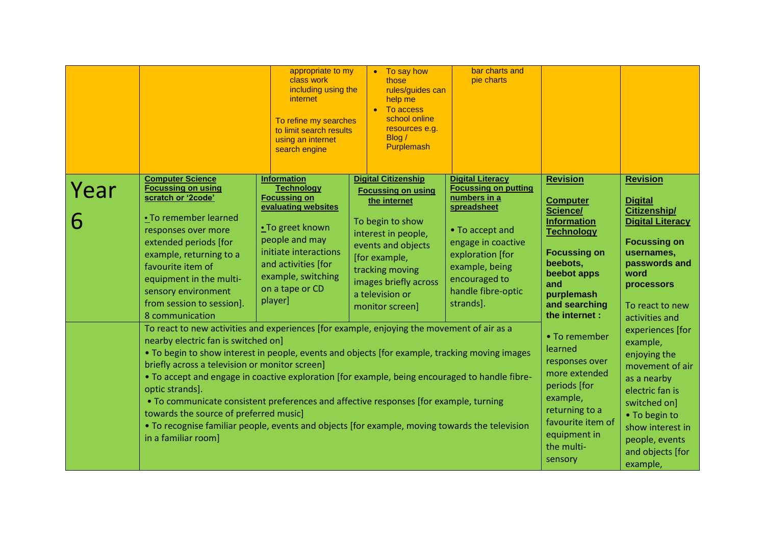|      |                                                                                                                                                                                                                                                                                                                                                                                                                                                                                                                                              | appropriate to my<br>class work<br>including using the<br><i>internet</i><br>To refine my searches<br>to limit search results<br>using an internet<br>search engine                                                             | • To say how<br>those<br>rules/guides can<br>help me<br>To access<br>school online<br>resources e.g.<br>Blog /<br>Purplemash                                                                                                                | bar charts and<br>pie charts                                                                                                                                                                                             |                                                                                                                                                                                                                                 |                                                                                                                                                                                                                                                      |
|------|----------------------------------------------------------------------------------------------------------------------------------------------------------------------------------------------------------------------------------------------------------------------------------------------------------------------------------------------------------------------------------------------------------------------------------------------------------------------------------------------------------------------------------------------|---------------------------------------------------------------------------------------------------------------------------------------------------------------------------------------------------------------------------------|---------------------------------------------------------------------------------------------------------------------------------------------------------------------------------------------------------------------------------------------|--------------------------------------------------------------------------------------------------------------------------------------------------------------------------------------------------------------------------|---------------------------------------------------------------------------------------------------------------------------------------------------------------------------------------------------------------------------------|------------------------------------------------------------------------------------------------------------------------------------------------------------------------------------------------------------------------------------------------------|
| Year | <b>Computer Science</b><br><b>Focussing on using</b><br>scratch or '2code'<br>• To remember learned<br>responses over more<br>extended periods [for<br>example, returning to a<br>favourite item of<br>equipment in the multi-<br>sensory environment<br>from session to session].<br>8 communication<br>To react to new activities and experiences [for example, enjoying the movement of air as a<br>nearby electric fan is switched on]<br>• To begin to show interest in people, events and objects [for example, tracking moving images | <b>Information</b><br><b>Technology</b><br><b>Focussing on</b><br>evaluating websites<br>. To greet known<br>people and may<br>initiate interactions<br>and activities [for<br>example, switching<br>on a tape or CD<br>player] | <b>Digital Citizenship</b><br><b>Focussing on using</b><br>the internet<br>To begin to show<br>interest in people,<br>events and objects<br>[for example,<br>tracking moving<br>images briefly across<br>a television or<br>monitor screen] | <b>Digital Literacy</b><br><b>Focussing on putting</b><br>numbers in a<br>spreadsheet<br>• To accept and<br>engage in coactive<br>exploration [for<br>example, being<br>encouraged to<br>handle fibre-optic<br>strands]. | <b>Revision</b><br><b>Computer</b><br>Science/<br><b>Information</b><br><b>Technology</b><br><b>Focussing on</b><br>beebots,<br>beebot apps<br>and<br>purplemash<br>and searching<br>the internet :<br>• To remember<br>learned | <b>Revision</b><br><b>Digital</b><br><b>Citizenship/</b><br><b>Digital Literacy</b><br><b>Focussing on</b><br>usernames,<br>passwords and<br>word<br>processors<br>To react to new<br>activities and<br>experiences [for<br>example,<br>enjoying the |
|      | briefly across a television or monitor screen]<br>. To accept and engage in coactive exploration [for example, being encouraged to handle fibre-<br>optic strands].<br>• To communicate consistent preferences and affective responses [for example, turning<br>towards the source of preferred music]<br>• To recognise familiar people, events and objects [for example, moving towards the television<br>in a familiar room]                                                                                                              |                                                                                                                                                                                                                                 |                                                                                                                                                                                                                                             |                                                                                                                                                                                                                          | responses over<br>more extended<br>periods [for<br>example,<br>returning to a<br>favourite item of<br>equipment in<br>the multi-<br>sensory                                                                                     | movement of air<br>as a nearby<br>electric fan is<br>switched on]<br>• To begin to<br>show interest in<br>people, events<br>and objects [for<br>example,                                                                                             |